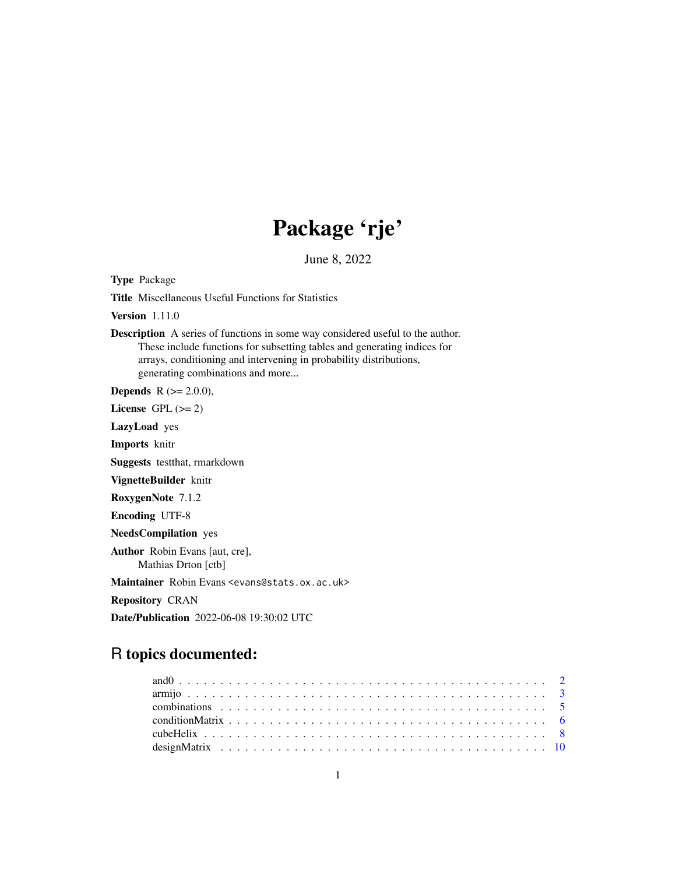# Package 'rje'

June 8, 2022

<span id="page-0-0"></span>Type Package

Title Miscellaneous Useful Functions for Statistics

Version 1.11.0

Description A series of functions in some way considered useful to the author. These include functions for subsetting tables and generating indices for arrays, conditioning and intervening in probability distributions, generating combinations and more...

**Depends** R  $(>= 2.0.0)$ ,

License GPL  $(>= 2)$ 

LazyLoad yes

Imports knitr

Suggests testthat, rmarkdown

VignetteBuilder knitr

RoxygenNote 7.1.2

Encoding UTF-8

NeedsCompilation yes

Author Robin Evans [aut, cre], Mathias Drton [ctb]

Maintainer Robin Evans <evans@stats.ox.ac.uk>

Repository CRAN

Date/Publication 2022-06-08 19:30:02 UTC

## R topics documented: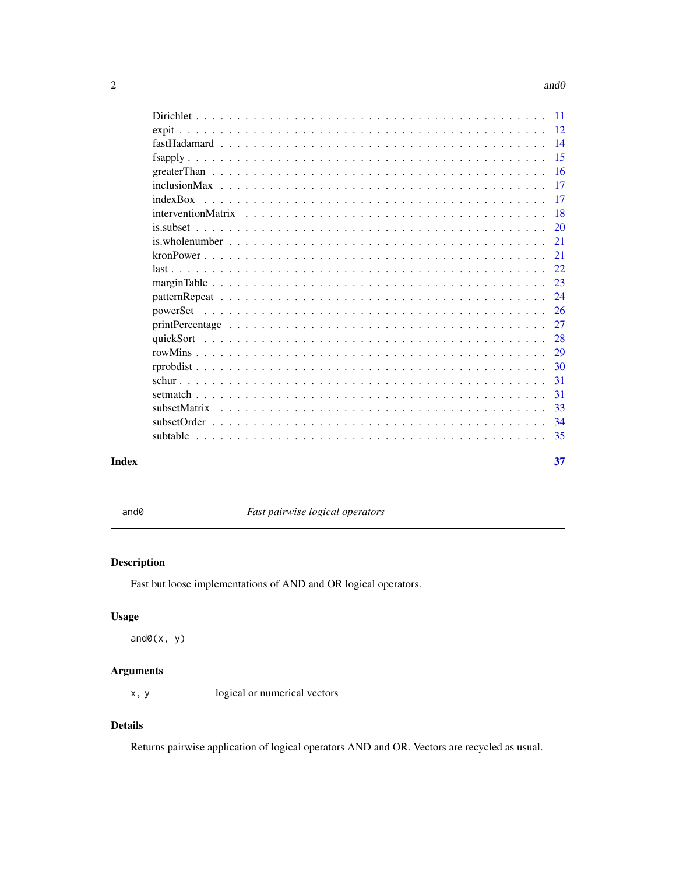#### <span id="page-1-0"></span>2 and 0 and 0 and 0 and 0 and 0 and 0 and 0 and 0 and 0 and 0 and 0 and 0 and 0 and 0 and 0 and 0 and 0 and 0 and 0 and 0 and 0 and 0 and 0 and 0 and 0 and 0 and 0 and 0 and 0 and 0 and 0 and 0 and 0 and 0 and 0 and 0 and

|       | indexBox |     |
|-------|----------|-----|
|       |          |     |
|       |          |     |
|       |          |     |
|       |          |     |
|       |          |     |
|       |          |     |
|       |          |     |
|       |          |     |
|       |          |     |
|       |          |     |
|       |          |     |
|       |          | -30 |
|       |          | 31  |
|       |          | 31  |
|       |          |     |
|       |          |     |
|       |          |     |
| Index |          | 37  |

and0 *Fast pairwise logical operators*

### Description

Fast but loose implementations of AND and OR logical operators.

### Usage

 $and0(x, y)$ 

### Arguments

x, y logical or numerical vectors

### Details

Returns pairwise application of logical operators AND and OR. Vectors are recycled as usual.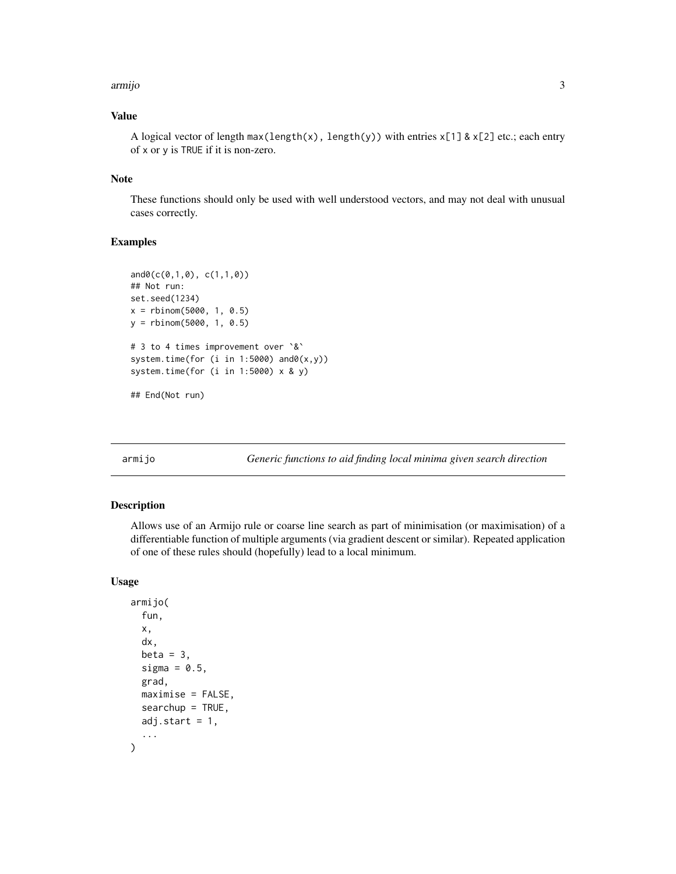#### <span id="page-2-0"></span>armijo 3

### Value

A logical vector of length  $max(length(x), length(y))$  with entries  $x[1]$  &  $x[2]$  etc.; each entry of x or y is TRUE if it is non-zero.

#### Note

These functions should only be used with well understood vectors, and may not deal with unusual cases correctly.

### Examples

```
and0(c(0,1,0), c(1,1,0))
## Not run:
set.seed(1234)
x = rbinom(5000, 1, 0.5)
y = rbinom(5000, 1, 0.5)
# 3 to 4 times improvement over `&`
system.time(for (i in 1:5000) and0(x,y))
system.time(for (i in 1:5000) x & y)
## End(Not run)
```
armijo *Generic functions to aid finding local minima given search direction*

### Description

Allows use of an Armijo rule or coarse line search as part of minimisation (or maximisation) of a differentiable function of multiple arguments (via gradient descent or similar). Repeated application of one of these rules should (hopefully) lead to a local minimum.

#### Usage

```
armijo(
  fun,
  x,
  dx,
 beta = 3,
  sigma = 0.5,
  grad,
 maximise = FALSE,
  searchup = TRUE,adj.start = 1,
  ...
)
```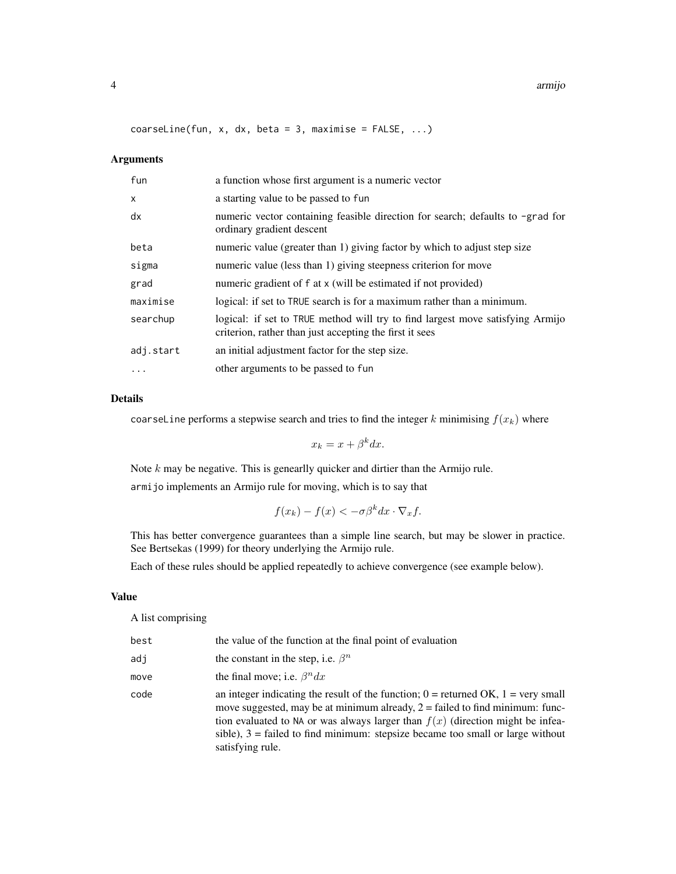coarseLine(fun, x, dx, beta = 3, maximise =  $FALSE$ , ...)

#### Arguments

| fun          | a function whose first argument is a numeric vector                                                                                       |
|--------------|-------------------------------------------------------------------------------------------------------------------------------------------|
| $\mathsf{x}$ | a starting value to be passed to fun                                                                                                      |
| dx           | numeric vector containing feasible direction for search; defaults to -grad for<br>ordinary gradient descent                               |
| beta         | numeric value (greater than 1) giving factor by which to adjust step size                                                                 |
| sigma        | numeric value (less than 1) giving steepness criterion for move                                                                           |
| grad         | numeric gradient of f at x (will be estimated if not provided)                                                                            |
| maximise     | logical: if set to TRUE search is for a maximum rather than a minimum.                                                                    |
| searchup     | logical: if set to TRUE method will try to find largest move satisfying Armijo<br>criterion, rather than just accepting the first it sees |
| adj.start    | an initial adjustment factor for the step size.                                                                                           |
| $\cdot$      | other arguments to be passed to fun                                                                                                       |

#### Details

coarseLine performs a stepwise search and tries to find the integer k minimising  $f(x_k)$  where

 $x_k = x + \beta^k dx.$ 

Note  $k$  may be negative. This is genearlly quicker and dirtier than the Armijo rule. armijo implements an Armijo rule for moving, which is to say that

$$
f(x_k) - f(x) < -\sigma \beta^k dx \cdot \nabla_x f.
$$

This has better convergence guarantees than a simple line search, but may be slower in practice. See Bertsekas (1999) for theory underlying the Armijo rule.

Each of these rules should be applied repeatedly to achieve convergence (see example below).

#### Value

A list comprising

| best | the value of the function at the final point of evaluation                                                                                                                                                                                                                                                                                                          |
|------|---------------------------------------------------------------------------------------------------------------------------------------------------------------------------------------------------------------------------------------------------------------------------------------------------------------------------------------------------------------------|
| adj  | the constant in the step, i.e. $\beta^n$                                                                                                                                                                                                                                                                                                                            |
| move | the final move; i.e. $\beta^n dx$                                                                                                                                                                                                                                                                                                                                   |
| code | an integer indicating the result of the function; $0 =$ returned OK, $1 =$ very small<br>move suggested, may be at minimum already, $2 =$ failed to find minimum: func-<br>tion evaluated to NA or was always larger than $f(x)$ (direction might be infea-<br>sible), $3 =$ failed to find minimum: stepsize became too small or large without<br>satisfying rule. |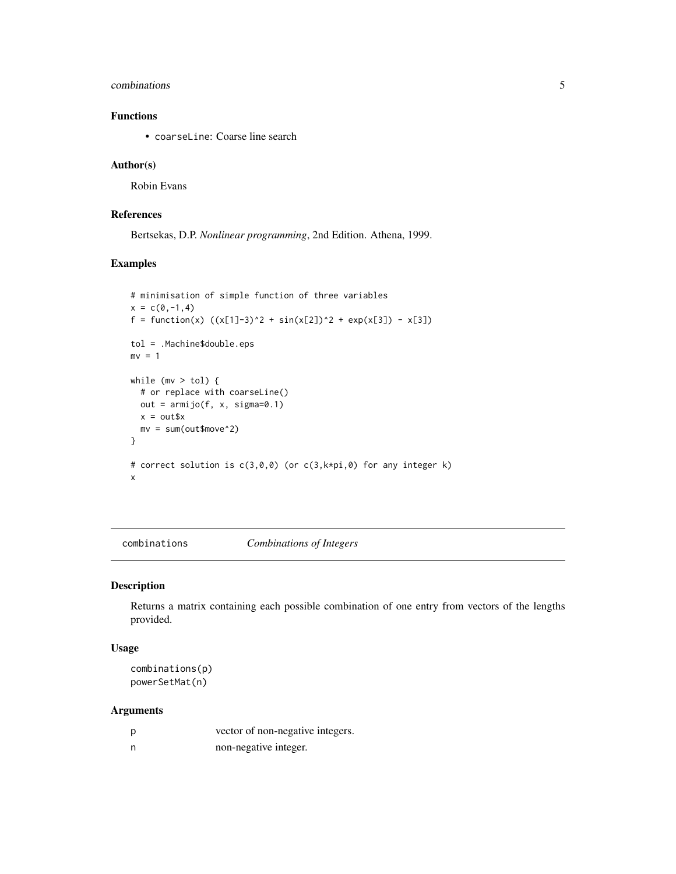#### <span id="page-4-0"></span>combinations 5

### Functions

• coarseLine: Coarse line search

#### Author(s)

Robin Evans

### References

Bertsekas, D.P. *Nonlinear programming*, 2nd Edition. Athena, 1999.

### Examples

```
# minimisation of simple function of three variables
x = c(0, -1, 4)f = function(x) ((x[1]-3)^2 + sin(x[2])^2 + exp(x[3]) - x[3])tol = .Machine$double.eps
mv = 1while (mv > tol) {
  # or replace with coarseLine()
 out = armijo(f, x, sigma=0.1)x = out$x
 mv = sum(out$move^2)
}
# correct solution is c(3,0,0) (or c(3,k*pi,0) for any integer k)
x
```
<span id="page-4-1"></span>combinations *Combinations of Integers*

#### <span id="page-4-2"></span>Description

Returns a matrix containing each possible combination of one entry from vectors of the lengths provided.

#### Usage

```
combinations(p)
powerSetMat(n)
```
### Arguments

| vector of non-negative integers. |
|----------------------------------|
| non-negative integer.            |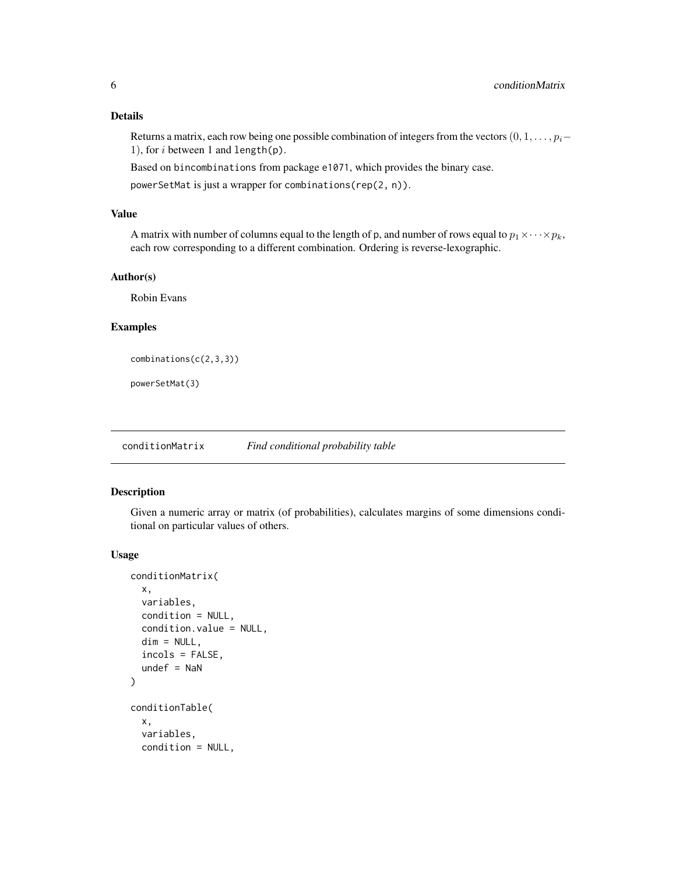### <span id="page-5-0"></span>Details

Returns a matrix, each row being one possible combination of integers from the vectors  $(0, 1, \ldots, p_i-$ 1), for  $i$  between 1 and length(p).

Based on bincombinations from package e1071, which provides the binary case.

powerSetMat is just a wrapper for combinations(rep(2, n)).

### Value

A matrix with number of columns equal to the length of p, and number of rows equal to  $p_1 \times \cdots \times p_k$ , each row corresponding to a different combination. Ordering is reverse-lexographic.

#### Author(s)

Robin Evans

### Examples

```
combinations(c(2,3,3))
```
powerSetMat(3)

conditionMatrix *Find conditional probability table*

#### <span id="page-5-1"></span>Description

Given a numeric array or matrix (of probabilities), calculates margins of some dimensions conditional on particular values of others.

#### Usage

```
conditionMatrix(
  x,
  variables,
 condition = NULL,
  condition.value = NULL,
  dim = NULL,incols = FALSE,
  undef = NaN)
conditionTable(
  x,
  variables,
  condition = NULL,
```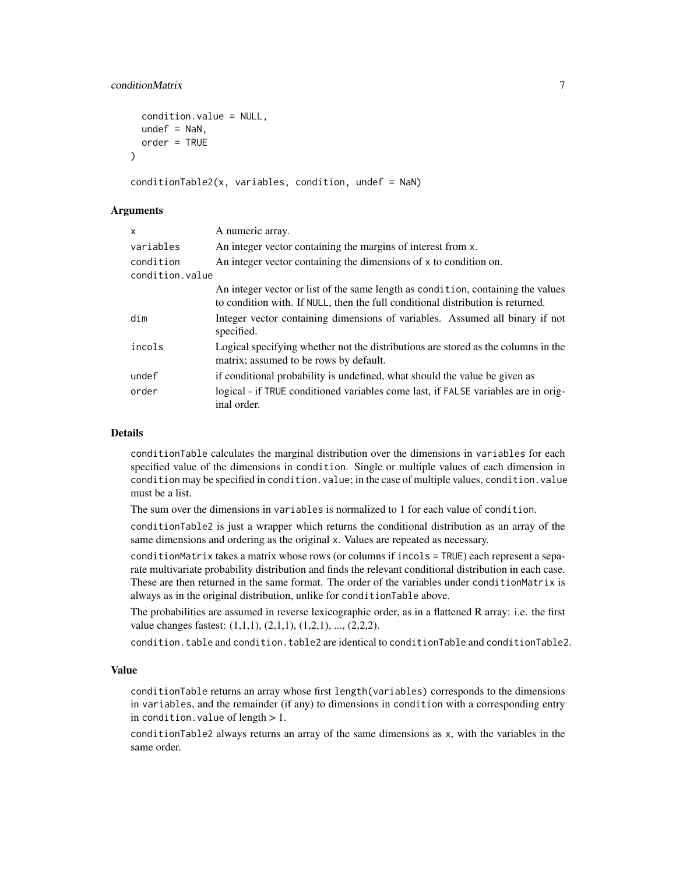### conditionMatrix 7

```
condition.value = NULL,
  under = NaN,
  order = TRUE\lambda
```

```
conditionTable2(x, variables, condition, undef = NaN)
```
#### **Arguments**

| $\mathsf{x}$    | A numeric array.                                                                                                                                                    |
|-----------------|---------------------------------------------------------------------------------------------------------------------------------------------------------------------|
| variables       | An integer vector containing the margins of interest from x.                                                                                                        |
| condition       | An integer vector containing the dimensions of x to condition on.                                                                                                   |
| condition.value |                                                                                                                                                                     |
|                 | An integer vector or list of the same length as condition, containing the values<br>to condition with. If NULL, then the full conditional distribution is returned. |
| dim             | Integer vector containing dimensions of variables. Assumed all binary if not<br>specified.                                                                          |
| incols          | Logical specifying whether not the distributions are stored as the columns in the<br>matrix; assumed to be rows by default.                                         |
| undef           | if conditional probability is undefined, what should the value be given as                                                                                          |
| order           | logical - if TRUE conditioned variables come last, if FALSE variables are in orig-<br>inal order.                                                                   |

### Details

conditionTable calculates the marginal distribution over the dimensions in variables for each specified value of the dimensions in condition. Single or multiple values of each dimension in condition may be specified in condition.value; in the case of multiple values, condition.value must be a list.

The sum over the dimensions in variables is normalized to 1 for each value of condition.

conditionTable2 is just a wrapper which returns the conditional distribution as an array of the same dimensions and ordering as the original x. Values are repeated as necessary.

conditionMatrix takes a matrix whose rows (or columns if incols = TRUE) each represent a separate multivariate probability distribution and finds the relevant conditional distribution in each case. These are then returned in the same format. The order of the variables under conditionMatrix is always as in the original distribution, unlike for conditionTable above.

The probabilities are assumed in reverse lexicographic order, as in a flattened R array: i.e. the first value changes fastest:  $(1,1,1)$ ,  $(2,1,1)$ ,  $(1,2,1)$ , ...,  $(2,2,2)$ .

condition.table and condition.table2 are identical to conditionTable and conditionTable2.

#### Value

conditionTable returns an array whose first length(variables) corresponds to the dimensions in variables, and the remainder (if any) to dimensions in condition with a corresponding entry in condition. value of length  $> 1$ .

conditionTable2 always returns an array of the same dimensions as x, with the variables in the same order.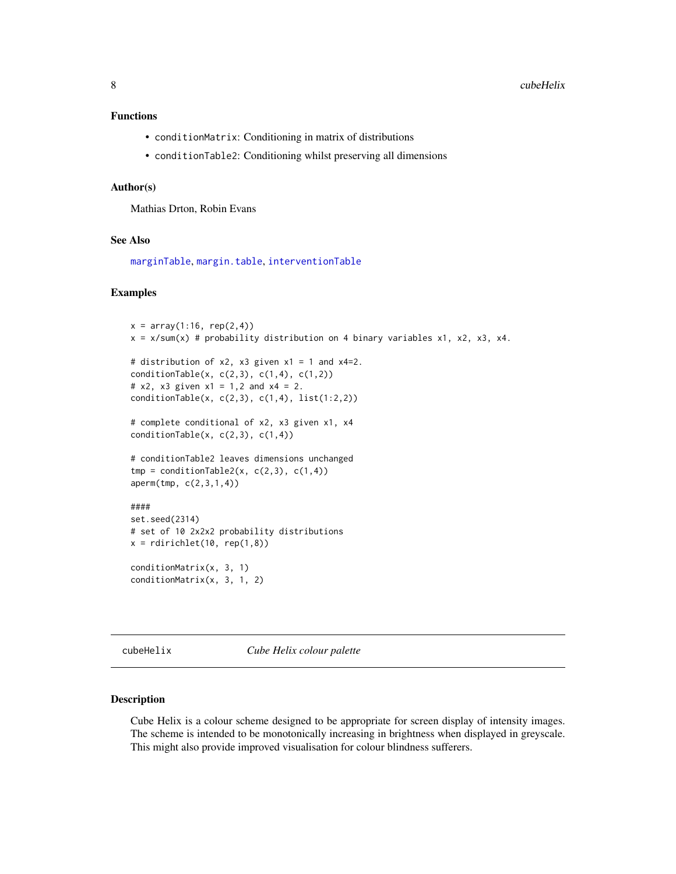#### <span id="page-7-0"></span>Functions

- conditionMatrix: Conditioning in matrix of distributions
- conditionTable2: Conditioning whilst preserving all dimensions

#### Author(s)

Mathias Drton, Robin Evans

#### See Also

[marginTable](#page-22-1), [margin.table](#page-0-0), [interventionTable](#page-17-1)

#### Examples

```
x = array(1:16, rep(2,4))x = x/\text{sum}(x) # probability distribution on 4 binary variables x1, x2, x3, x4.
# distribution of x2, x3 given x1 = 1 and x4=2.
conditionTable(x, c(2,3), c(1,4), c(1,2))
# x2, x3 given x1 = 1,2 and x4 = 2.
conditionTable(x, c(2,3), c(1,4), list(1:2,2))
# complete conditional of x2, x3 given x1, x4
conditionTable(x, c(2,3), c(1,4))# conditionTable2 leaves dimensions unchanged
tmp = conditionTable2(x, c(2,3), c(1,4))aperm(tmp, c(2,3,1,4))
####
set.seed(2314)
# set of 10 2x2x2 probability distributions
x = \text{rdirichlet}(10, \text{rep}(1, 8))conditionMatrix(x, 3, 1)
conditionMatrix(x, 3, 1, 2)
```
cubeHelix *Cube Helix colour palette*

#### Description

Cube Helix is a colour scheme designed to be appropriate for screen display of intensity images. The scheme is intended to be monotonically increasing in brightness when displayed in greyscale. This might also provide improved visualisation for colour blindness sufferers.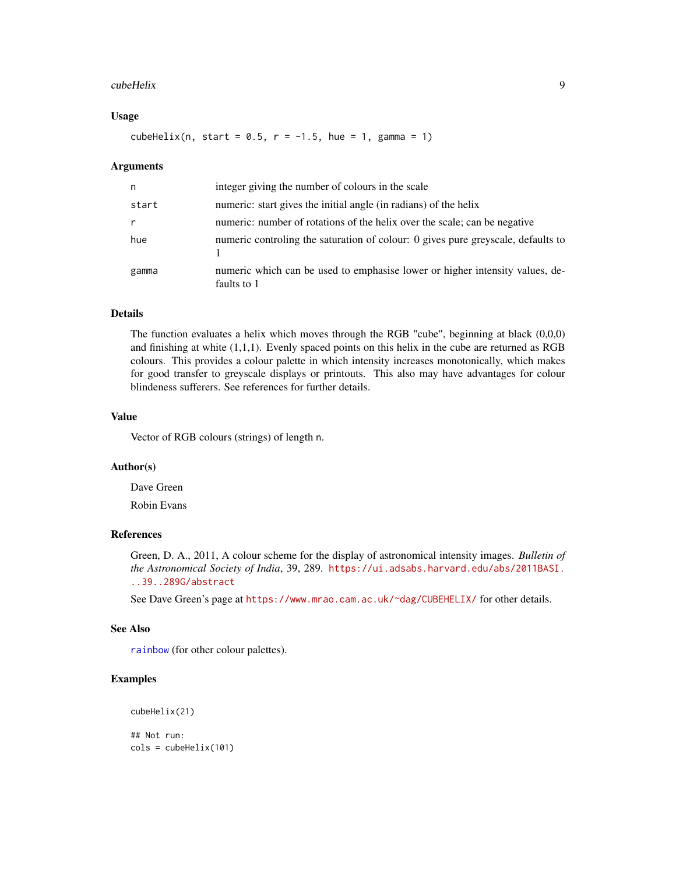#### <span id="page-8-0"></span>cubeHelix 9

#### Usage

cubeHelix(n, start =  $0.5$ ,  $r = -1.5$ , hue = 1, gamma = 1)

#### Arguments

| n     | integer giving the number of colours in the scale                                           |
|-------|---------------------------------------------------------------------------------------------|
| start | numeric: start gives the initial angle (in radians) of the helix                            |
|       | numeric: number of rotations of the helix over the scale; can be negative                   |
| hue   | numeric controling the saturation of colour: 0 gives pure greyscale, defaults to            |
| gamma | numeric which can be used to emphasise lower or higher intensity values, de-<br>faults to 1 |

### Details

The function evaluates a helix which moves through the RGB "cube", beginning at black (0,0,0) and finishing at white  $(1,1,1)$ . Evenly spaced points on this helix in the cube are returned as RGB colours. This provides a colour palette in which intensity increases monotonically, which makes for good transfer to greyscale displays or printouts. This also may have advantages for colour blindeness sufferers. See references for further details.

#### Value

Vector of RGB colours (strings) of length n.

### Author(s)

Dave Green Robin Evans

### References

Green, D. A., 2011, A colour scheme for the display of astronomical intensity images. *Bulletin of the Astronomical Society of India*, 39, 289. [https://ui.adsabs.harvard.edu/abs/2011BASI.](https://ui.adsabs.harvard.edu/abs/2011BASI...39..289G/abstract) [..39..289G/abstract](https://ui.adsabs.harvard.edu/abs/2011BASI...39..289G/abstract)

See Dave Green's page at <https://www.mrao.cam.ac.uk/~dag/CUBEHELIX/> for other details.

#### See Also

[rainbow](#page-0-0) (for other colour palettes).

### Examples

```
cubeHelix(21)
```
## Not run:  $\text{cols} = \text{cubeHelix}(101)$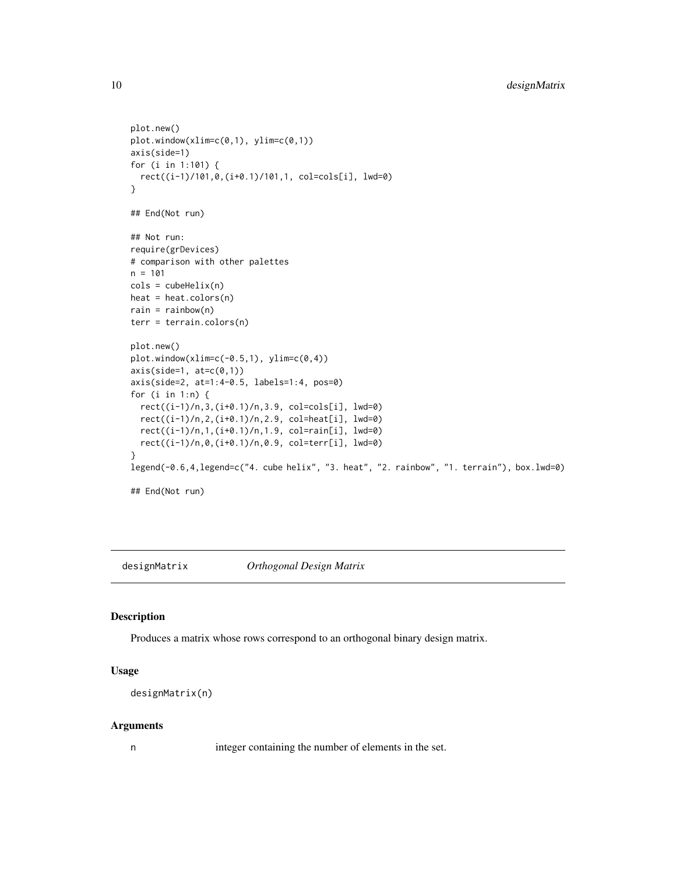```
plot.new()
plot.window(xlim=c(0,1), ylim=c(0,1))
axis(side=1)
for (i in 1:101) {
  rect((i-1)/101,0,(i+0.1)/101,1, col=cols[i], lwd=0)
}
## End(Not run)
## Not run:
require(grDevices)
# comparison with other palettes
n = 101
\text{cols} = \text{cubeHelix}(n)heat = heat.colors(n)
rain = rainbow(n)
terr = terrain.colors(n)
plot.new()
plot.window(xlim=c(-0.5,1), ylim=c(0,4))
axis(side=1, at=c(0,1))axis(side=2, at=1:4-0.5, labels=1:4, pos=0)
for (i in 1:n) {
  rect((i-1)/n,3,(i+0.1)/n,3.9, col=cols[i], lwd=0)
  rect((i-1)/n,2,(i+0.1)/n,2.9, col=heat[i], lwd=0)
  rect((i-1)/n,1,(i+0.1)/n,1.9, col=rain[i], lwd=0)
  rect((i-1)/n,0,(i+0.1)/n,0.9, col=terr[i], lwd=0)
}
legend(-0.6,4,legend=c("4. cube helix", "3. heat", "2. rainbow", "1. terrain"), box.lwd=0)
## End(Not run)
```
<span id="page-9-1"></span>designMatrix *Orthogonal Design Matrix*

#### Description

Produces a matrix whose rows correspond to an orthogonal binary design matrix.

#### Usage

```
designMatrix(n)
```
#### Arguments

n integer containing the number of elements in the set.

<span id="page-9-0"></span>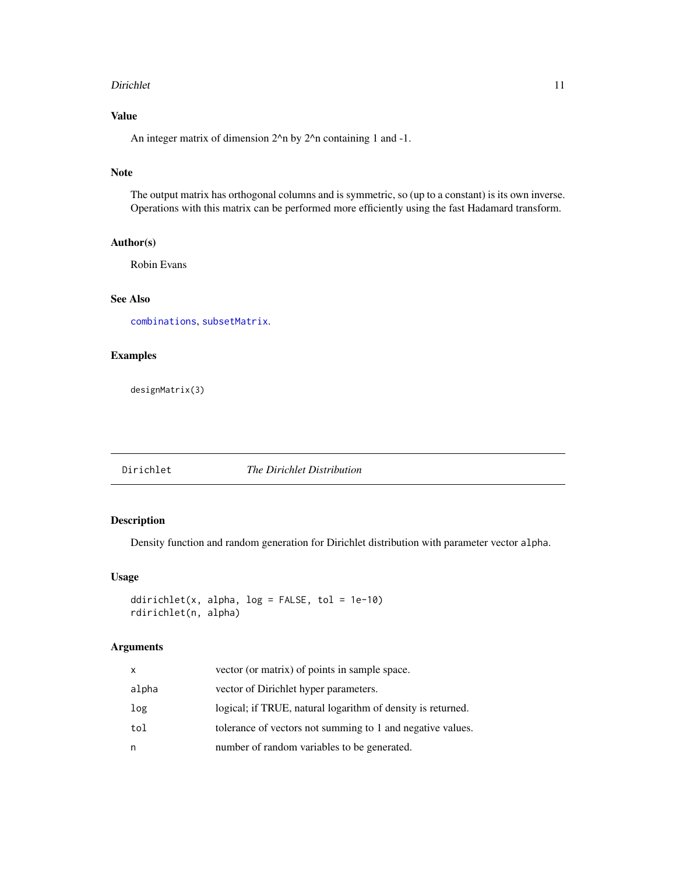#### <span id="page-10-0"></span>Dirichlet 11

### Value

An integer matrix of dimension  $2^{\lambda}$ n by  $2^{\lambda}$ n containing 1 and -1.

### Note

The output matrix has orthogonal columns and is symmetric, so (up to a constant) is its own inverse. Operations with this matrix can be performed more efficiently using the fast Hadamard transform.

### Author(s)

Robin Evans

### See Also

[combinations](#page-4-1), [subsetMatrix](#page-32-1).

#### Examples

designMatrix(3)

#### Dirichlet *The Dirichlet Distribution*

### Description

Density function and random generation for Dirichlet distribution with parameter vector alpha.

#### Usage

```
ddirichlet(x, alpha, log = FALSE, tol = 1e-10)
rdirichlet(n, alpha)
```
### Arguments

| X     | vector (or matrix) of points in sample space.               |
|-------|-------------------------------------------------------------|
| alpha | vector of Dirichlet hyper parameters.                       |
| log   | logical; if TRUE, natural logarithm of density is returned. |
| tol   | tolerance of vectors not summing to 1 and negative values.  |
| n     | number of random variables to be generated.                 |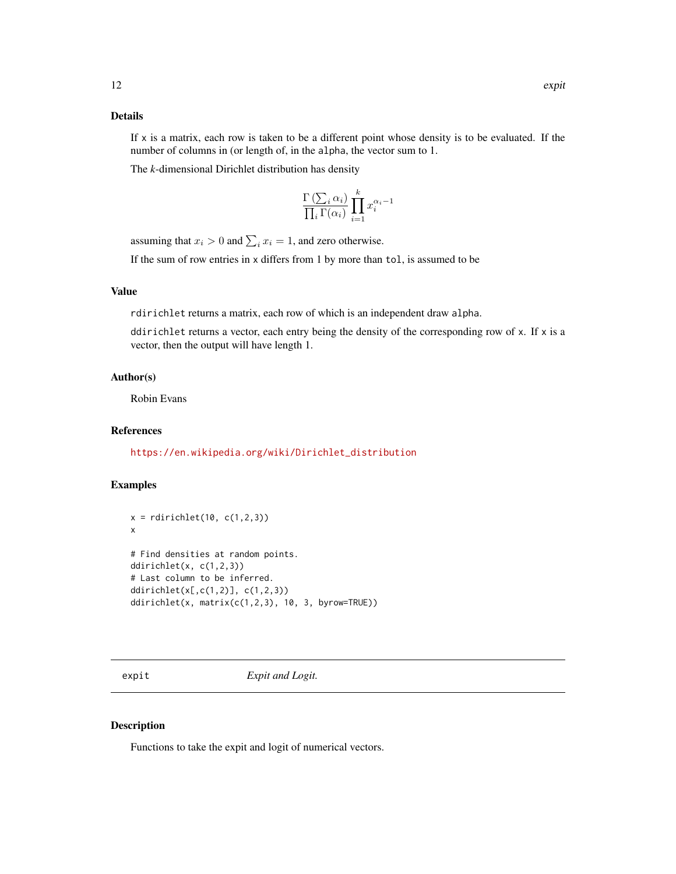#### <span id="page-11-0"></span>Details

If  $x$  is a matrix, each row is taken to be a different point whose density is to be evaluated. If the number of columns in (or length of, in the alpha, the vector sum to 1.

The *k*-dimensional Dirichlet distribution has density

$$
\frac{\Gamma\left(\sum_{i} \alpha_{i}\right)}{\prod_{i} \Gamma(\alpha_{i})} \prod_{i=1}^{k} x_{i}^{\alpha_{i}-1}
$$

assuming that  $x_i > 0$  and  $\sum_i x_i = 1$ , and zero otherwise.

If the sum of row entries in x differs from 1 by more than tol, is assumed to be

### Value

rdirichlet returns a matrix, each row of which is an independent draw alpha.

ddirichlet returns a vector, each entry being the density of the corresponding row of  $x$ . If  $x$  is a vector, then the output will have length 1.

### Author(s)

Robin Evans

### References

[https://en.wikipedia.org/wiki/Dirichlet\\_distribution](https://en.wikipedia.org/wiki/Dirichlet_distribution)

### Examples

```
x = \text{rdirichlet}(10, c(1, 2, 3))x
# Find densities at random points.
ddirichlet(x, c(1,2,3))
# Last column to be inferred.
ddirichlet(x[,c(1,2)], c(1,2,3))
ddirichlet(x, matrix(c(1,2,3), 10, 3, byrow=TRUE))
```
expit *Expit and Logit.*

#### Description

Functions to take the expit and logit of numerical vectors.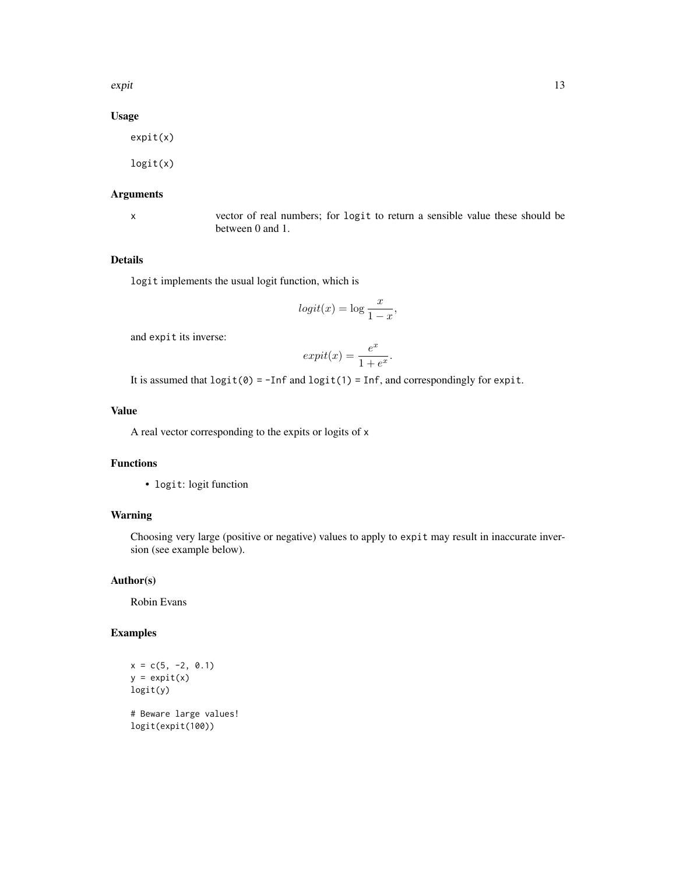expit the state of the state of the state of the state of the state of the state of the state of the state of the state of the state of the state of the state of the state of the state of the state of the state of the stat

### Usage

expit(x)

logit(x)

### Arguments

x vector of real numbers; for logit to return a sensible value these should be between 0 and 1.

#### Details

logit implements the usual logit function, which is

$$
logit(x) = \log \frac{x}{1-x},
$$

and expit its inverse:

$$
expit(x) = \frac{e^x}{1 + e^x}.
$$

It is assumed that  $logit(\theta) = -Inf$  and  $logit(1) = Inf$ , and correspondingly for expit.

#### Value

A real vector corresponding to the expits or logits of x

### Functions

• logit: logit function

### Warning

Choosing very large (positive or negative) values to apply to expit may result in inaccurate inversion (see example below).

#### Author(s)

Robin Evans

### Examples

```
x = c(5, -2, 0.1)y = expit(x)logit(y)
# Beware large values!
```
logit(expit(100))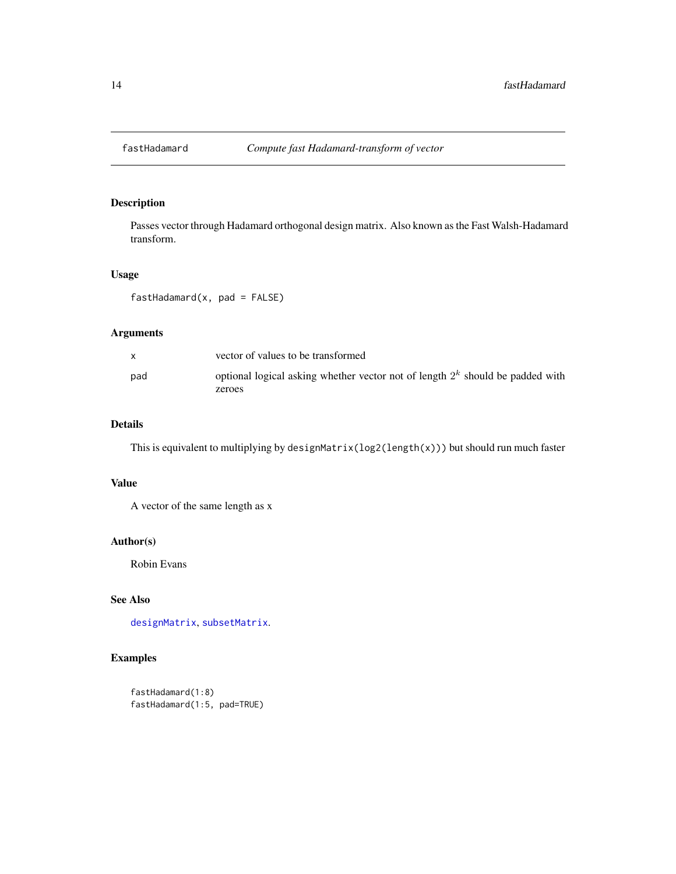<span id="page-13-0"></span>

### Description

Passes vector through Hadamard orthogonal design matrix. Also known as the Fast Walsh-Hadamard transform.

#### Usage

fastHadamard(x, pad = FALSE)

### Arguments

| vector of values to be transformed                                                        |
|-------------------------------------------------------------------------------------------|
| optional logical asking whether vector not of length $2k$ should be padded with<br>zeroes |
|                                                                                           |

### Details

This is equivalent to multiplying by designMatrix(log2(length(x))) but should run much faster

#### Value

A vector of the same length as x

### Author(s)

Robin Evans

### See Also

[designMatrix](#page-9-1), [subsetMatrix](#page-32-1).

```
fastHadamard(1:8)
fastHadamard(1:5, pad=TRUE)
```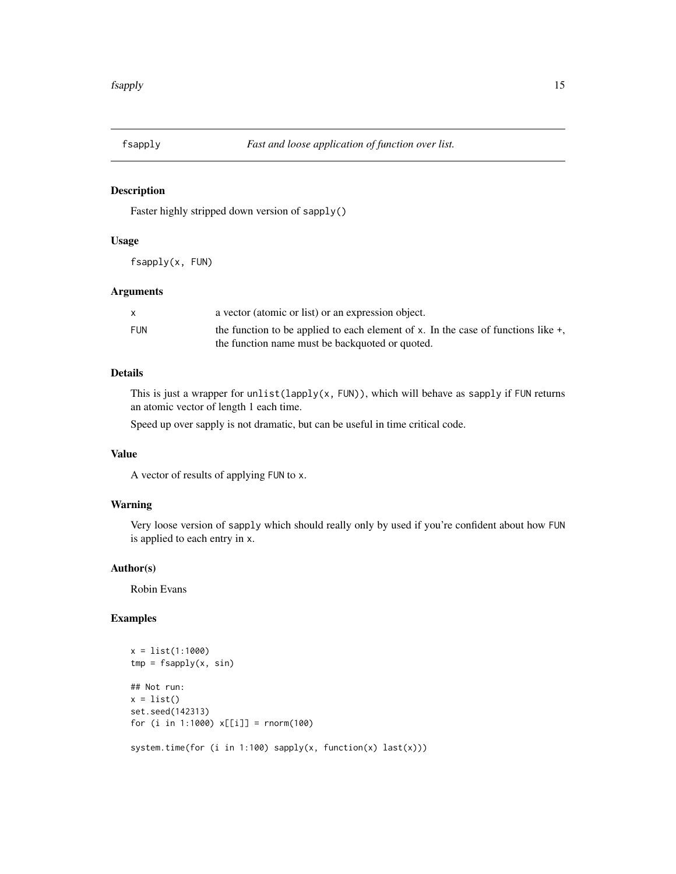<span id="page-14-0"></span>

### Description

Faster highly stripped down version of sapply()

#### Usage

fsapply(x, FUN)

### Arguments

|            | a vector (atomic or list) or an expression object.                                   |
|------------|--------------------------------------------------------------------------------------|
| <b>FUN</b> | the function to be applied to each element of x. In the case of functions like $+$ , |
|            | the function name must be backquoted or quoted.                                      |

#### Details

This is just a wrapper for unlist(lapply(x, FUN)), which will behave as sapply if FUN returns an atomic vector of length 1 each time.

Speed up over sapply is not dramatic, but can be useful in time critical code.

#### Value

A vector of results of applying FUN to x.

### Warning

Very loose version of sapply which should really only by used if you're confident about how FUN is applied to each entry in x.

#### Author(s)

Robin Evans

```
x = list(1:1000)
tmp = fsapply(x, sin)## Not run:
x = list()set.seed(142313)
for (i in 1:1000) x[[i]] = rnorm(100)
system.time(for (i in 1:100) sapply(x, function(x) last(x)))
```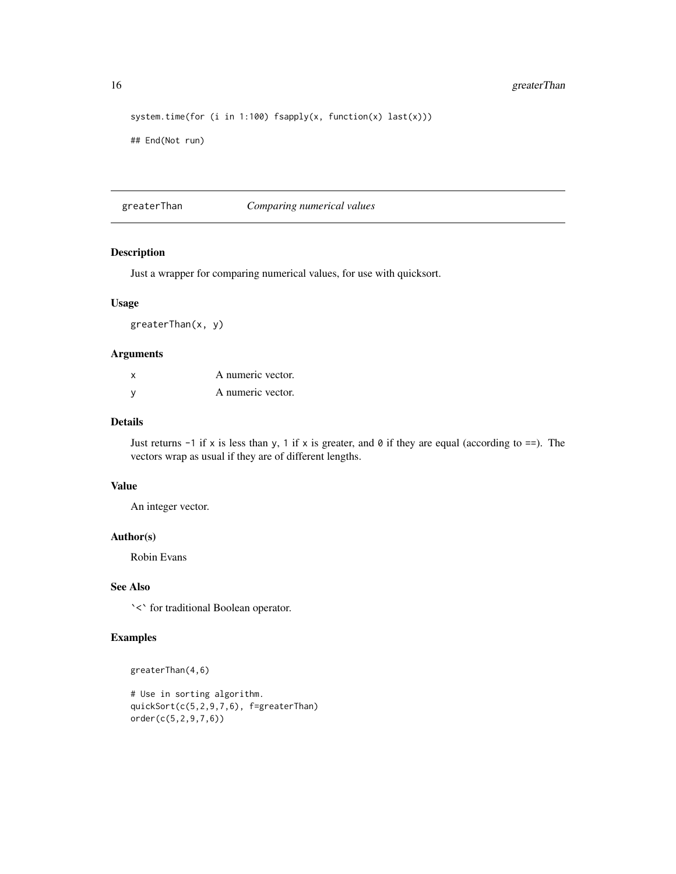```
system.time(for (i in 1:100) fsapply(x, function(x) last(x)))
## End(Not run)
```
greaterThan *Comparing numerical values*

#### Description

Just a wrapper for comparing numerical values, for use with quicksort.

### Usage

greaterThan(x, y)

#### Arguments

| x | A numeric vector. |
|---|-------------------|
|   | A numeric vector. |

### Details

Just returns  $-1$  if x is less than y, 1 if x is greater, and 0 if they are equal (according to  $==$ ). The vectors wrap as usual if they are of different lengths.

### Value

An integer vector.

#### Author(s)

Robin Evans

### See Also

`<` for traditional Boolean operator.

```
greaterThan(4,6)
```

```
# Use in sorting algorithm.
quickSort(c(5,2,9,7,6), f=greaterThan)
order(c(5,2,9,7,6))
```
<span id="page-15-0"></span>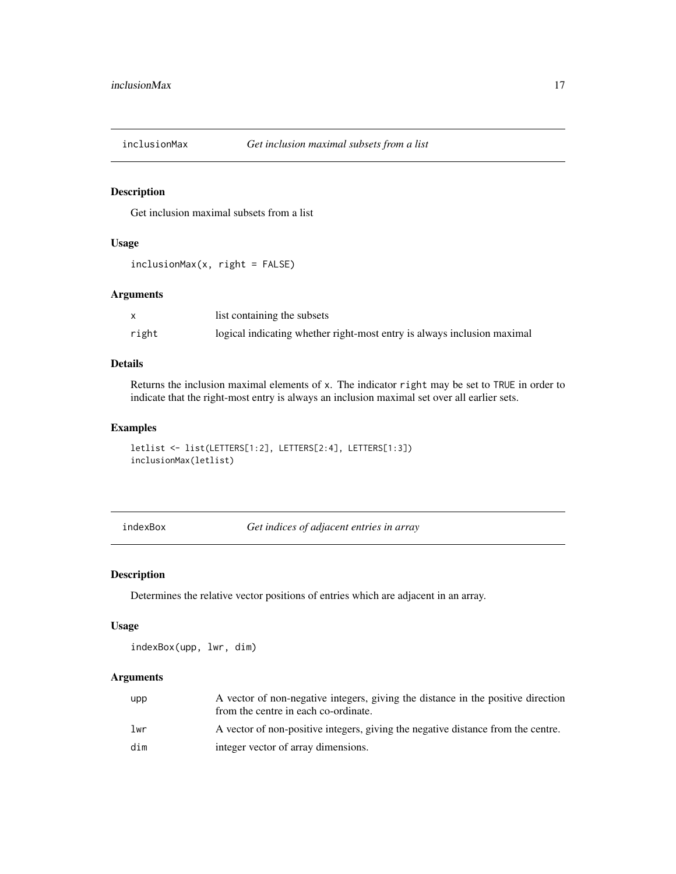<span id="page-16-1"></span><span id="page-16-0"></span>

### Description

Get inclusion maximal subsets from a list

### Usage

 $inclusionMax(x, right = FALSE)$ 

#### Arguments

|       | list containing the subsets                                             |
|-------|-------------------------------------------------------------------------|
| right | logical indicating whether right-most entry is always inclusion maximal |

#### Details

Returns the inclusion maximal elements of x. The indicator right may be set to TRUE in order to indicate that the right-most entry is always an inclusion maximal set over all earlier sets.

#### Examples

```
letlist <- list(LETTERS[1:2], LETTERS[2:4], LETTERS[1:3])
inclusionMax(letlist)
```
indexBox *Get indices of adjacent entries in array*

### Description

Determines the relative vector positions of entries which are adjacent in an array.

#### Usage

```
indexBox(upp, lwr, dim)
```
### Arguments

| upp | A vector of non-negative integers, giving the distance in the positive direction<br>from the centre in each co-ordinate. |
|-----|--------------------------------------------------------------------------------------------------------------------------|
| lwr | A vector of non-positive integers, giving the negative distance from the centre.                                         |
| dim | integer vector of array dimensions.                                                                                      |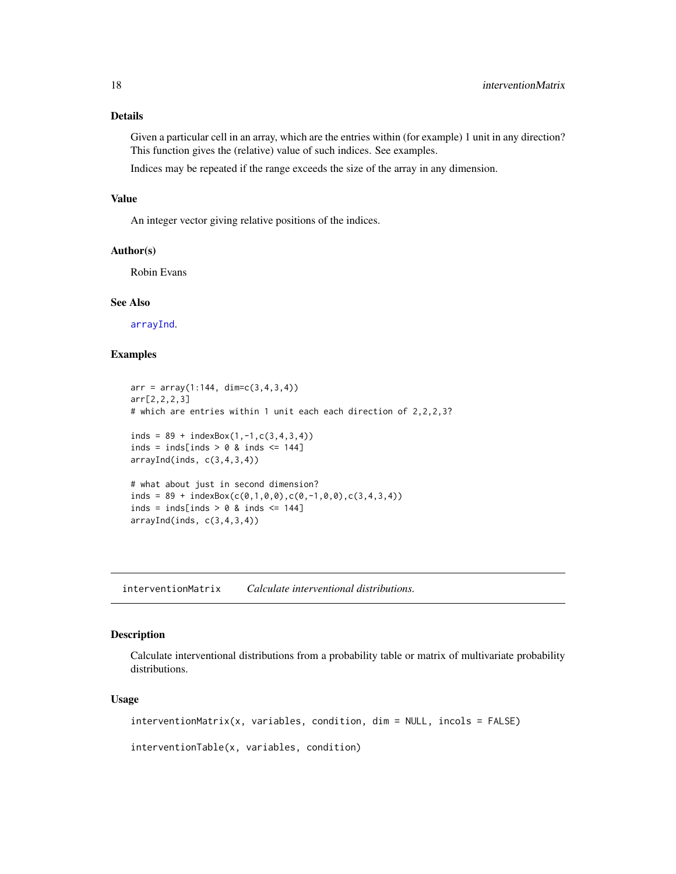#### <span id="page-17-0"></span>Details

Given a particular cell in an array, which are the entries within (for example) 1 unit in any direction? This function gives the (relative) value of such indices. See examples.

Indices may be repeated if the range exceeds the size of the array in any dimension.

#### Value

An integer vector giving relative positions of the indices.

#### Author(s)

Robin Evans

#### See Also

[arrayInd](#page-0-0).

### Examples

```
arr = array(1:144, dim=c(3,4,3,4))arr[2,2,2,3]
# which are entries within 1 unit each each direction of 2,2,2,3?
inds = 89 + indexBox(1, -1, c(3, 4, 3, 4))inds = inds[inds > 0 & inds \leq 144]
arrayInd(int, c(3,4,3,4))# what about just in second dimension?
inds = 89 + indexBox(c(0,1,0,0),c(0,-1,0,0),c(3,4,3,4))
inds = inds[inds > 0 & inds \le 144]
arrayInd(inds, c(3,4,3,4))
```
interventionMatrix *Calculate interventional distributions.*

#### <span id="page-17-1"></span>Description

Calculate interventional distributions from a probability table or matrix of multivariate probability distributions.

#### Usage

interventionMatrix(x, variables, condition, dim = NULL, incols = FALSE)

interventionTable(x, variables, condition)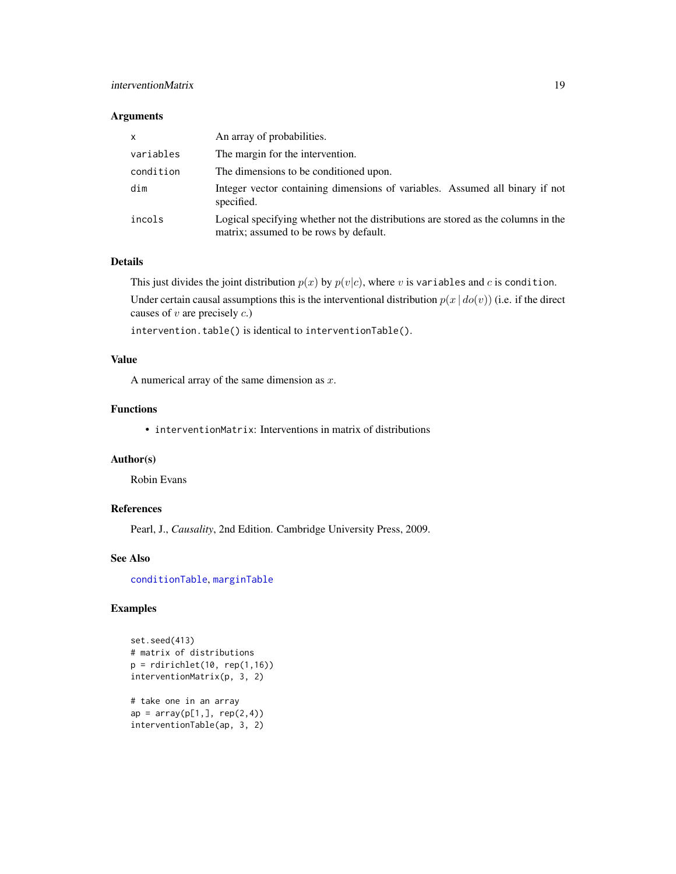### <span id="page-18-0"></span>interventionMatrix 19

#### Arguments

| $\mathsf{x}$ | An array of probabilities.                                                                                                  |
|--------------|-----------------------------------------------------------------------------------------------------------------------------|
| variables    | The margin for the intervention.                                                                                            |
| condition    | The dimensions to be conditioned upon.                                                                                      |
| dim          | Integer vector containing dimensions of variables. Assumed all binary if not<br>specified.                                  |
| incols       | Logical specifying whether not the distributions are stored as the columns in the<br>matrix; assumed to be rows by default. |

### Details

This just divides the joint distribution  $p(x)$  by  $p(v|c)$ , where v is variables and c is condition.

Under certain causal assumptions this is the interventional distribution  $p(x | do(v))$  (i.e. if the direct causes of  $v$  are precisely  $c$ .)

intervention.table() is identical to interventionTable().

### Value

A numerical array of the same dimension as  $x$ .

### Functions

• interventionMatrix: Interventions in matrix of distributions

#### Author(s)

Robin Evans

#### References

Pearl, J., *Causality*, 2nd Edition. Cambridge University Press, 2009.

### See Also

[conditionTable](#page-5-1), [marginTable](#page-22-1)

```
set.seed(413)
# matrix of distributions
p = rdirichlet(10, rep(1,16))
interventionMatrix(p, 3, 2)
# take one in an array
ap = array(p[1,], rep(2,4))interventionTable(ap, 3, 2)
```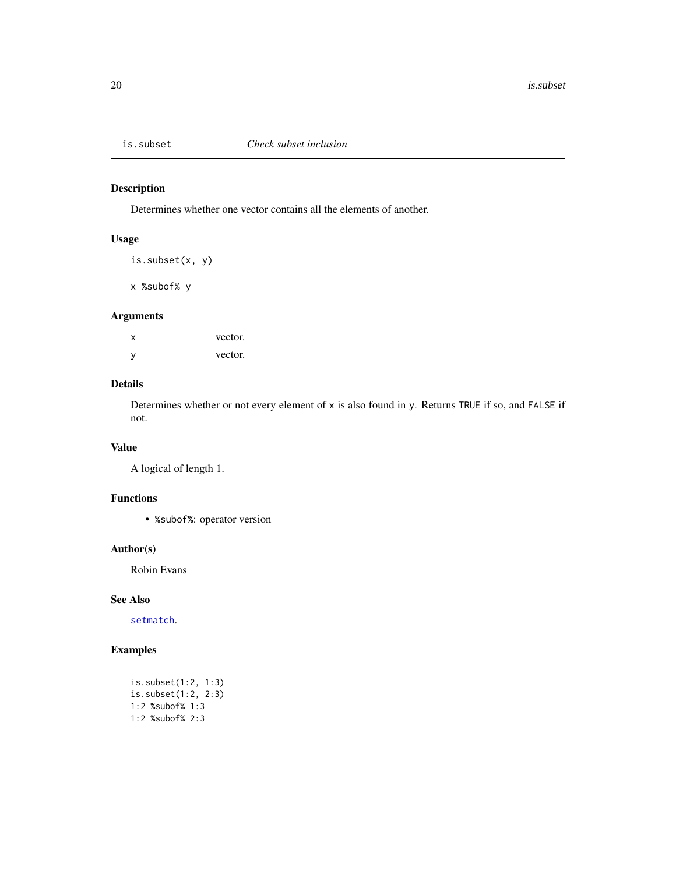<span id="page-19-1"></span><span id="page-19-0"></span>

### Description

Determines whether one vector contains all the elements of another.

### Usage

```
is.subset(x, y)
```
x %subof% y

### Arguments

| X | vector. |
|---|---------|
| y | vector. |

### Details

Determines whether or not every element of x is also found in y. Returns TRUE if so, and FALSE if not.

#### Value

A logical of length 1.

### Functions

• %subof%: operator version

#### Author(s)

Robin Evans

### See Also

[setmatch](#page-30-1).

```
is.subset(1:2, 1:3)
is.subset(1:2, 2:3)
1:2 %subof% 1:3
1:2 %subof% 2:3
```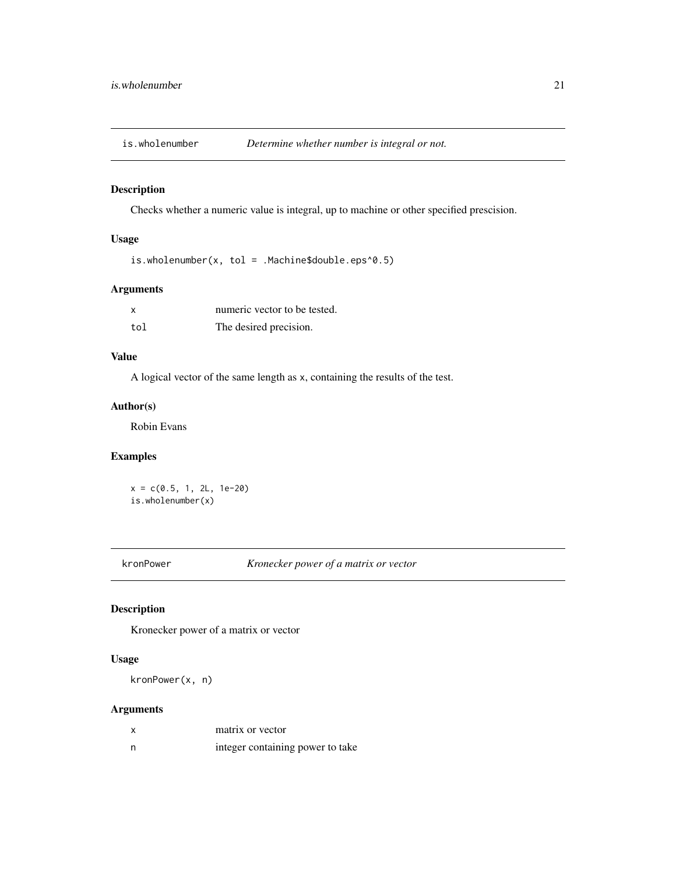<span id="page-20-0"></span>

### Description

Checks whether a numeric value is integral, up to machine or other specified prescision.

### Usage

is.wholenumber(x, tol = .Machine\$double.eps^0.5)

### Arguments

|     | numeric vector to be tested. |
|-----|------------------------------|
| tol | The desired precision.       |

### Value

A logical vector of the same length as x, containing the results of the test.

### Author(s)

Robin Evans

### Examples

 $x = c(0.5, 1, 2L, 1e-20)$ is.wholenumber(x)

kronPower *Kronecker power of a matrix or vector*

### Description

Kronecker power of a matrix or vector

### Usage

kronPower(x, n)

### Arguments

|   | matrix or vector                 |
|---|----------------------------------|
| n | integer containing power to take |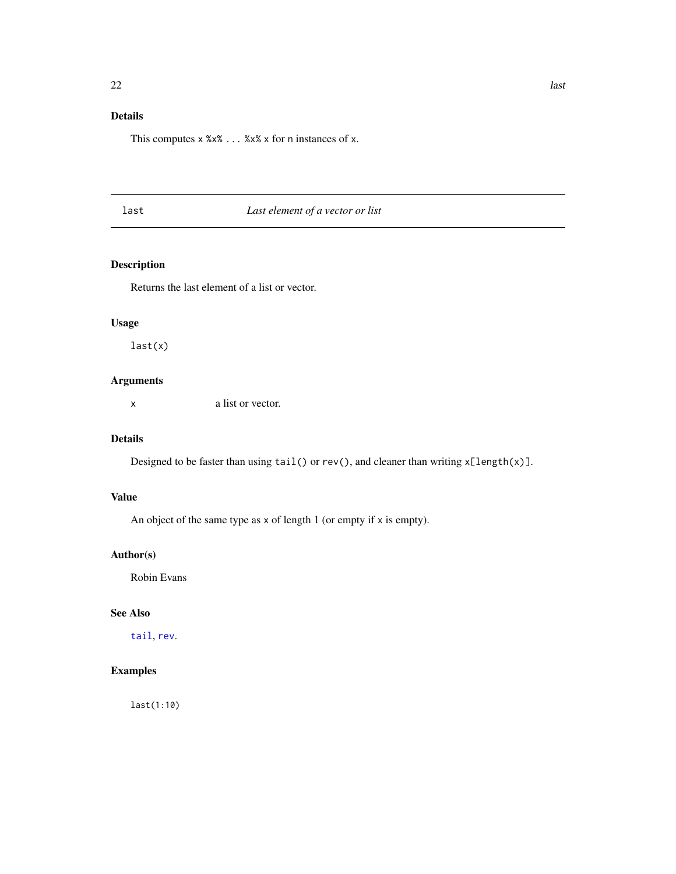### <span id="page-21-0"></span>Details

This computes x %x% ... %x% x for n instances of x.

### last *Last element of a vector or list*

### Description

Returns the last element of a list or vector.

### Usage

last(x)

### Arguments

x a list or vector.

### Details

Designed to be faster than using  $tail()$  or  $rev()$ , and cleaner than writing  $x[length(x)].$ 

### Value

An object of the same type as  $x$  of length 1 (or empty if  $x$  is empty).

### Author(s)

Robin Evans

### See Also

[tail](#page-0-0), [rev](#page-0-0).

### Examples

last(1:10)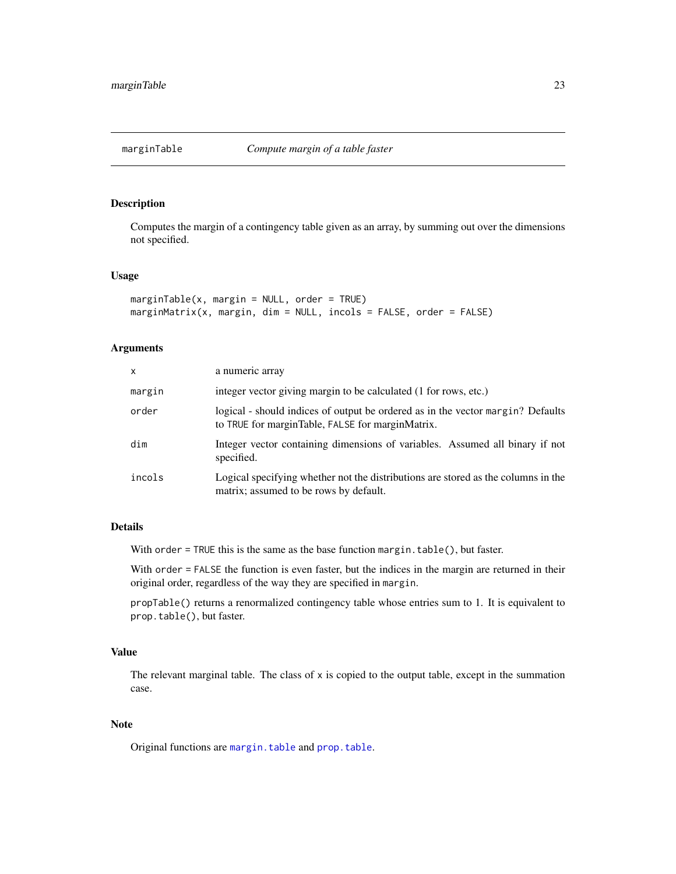<span id="page-22-1"></span><span id="page-22-0"></span>

#### Description

Computes the margin of a contingency table given as an array, by summing out over the dimensions not specified.

#### Usage

```
marginTable(x, margin = NULL, order = TRUE)marginMatrix(x, margin, dim = NULL, incols = FALSE, order = FALSE)
```
### Arguments

| $\times$ | a numeric array                                                                                                                     |
|----------|-------------------------------------------------------------------------------------------------------------------------------------|
| margin   | integer vector giving margin to be calculated (1 for rows, etc.)                                                                    |
| order    | logical - should indices of output be ordered as in the vector margin? Defaults<br>to TRUE for marginTable, FALSE for marginMatrix. |
| dim      | Integer vector containing dimensions of variables. Assumed all binary if not<br>specified.                                          |
| incols   | Logical specifying whether not the distributions are stored as the columns in the<br>matrix; assumed to be rows by default.         |

#### Details

With order = TRUE this is the same as the base function margin.table(), but faster.

With order = FALSE the function is even faster, but the indices in the margin are returned in their original order, regardless of the way they are specified in margin.

propTable() returns a renormalized contingency table whose entries sum to 1. It is equivalent to prop.table(), but faster.

### Value

The relevant marginal table. The class of  $x$  is copied to the output table, except in the summation case.

#### Note

Original functions are [margin.table](#page-0-0) and [prop.table](#page-0-0).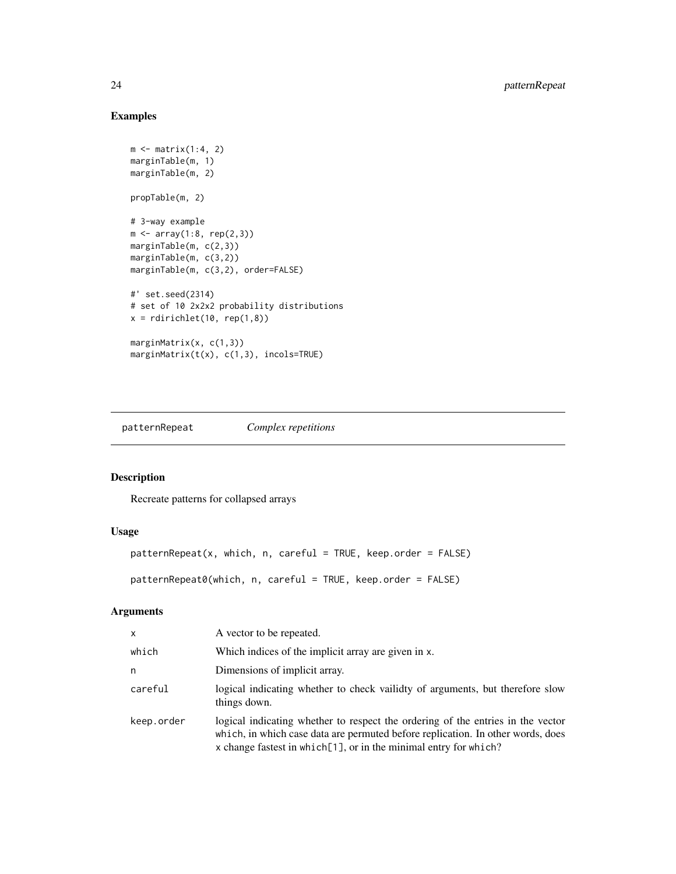### Examples

```
m \leftarrow matrix(1:4, 2)marginTable(m, 1)
marginTable(m, 2)
propTable(m, 2)
# 3-way example
m \leq -\arctan(1:8, rep(2,3))marginTable(m, c(2,3))
marginTable(m, c(3,2))
marginTable(m, c(3,2), order=FALSE)
#' set.seed(2314)
# set of 10 2x2x2 probability distributions
x = \text{rdirichlet}(10, \text{rep}(1, 8))marginMatrix(x, c(1,3))
marginMatrix(t(x), c(1,3), incols=TRUE)
```
patternRepeat *Complex repetitions*

### Description

Recreate patterns for collapsed arrays

### Usage

```
patternRepeat(x, which, n, careful = TRUE, keep.order = FALSE)
```
patternRepeat0(which, n, careful = TRUE, keep.order = FALSE)

#### Arguments

| X          | A vector to be repeated.                                                                                                                                                                                                               |
|------------|----------------------------------------------------------------------------------------------------------------------------------------------------------------------------------------------------------------------------------------|
| which      | Which indices of the implicit array are given in x.                                                                                                                                                                                    |
| n          | Dimensions of implicit array.                                                                                                                                                                                                          |
| careful    | logical indicating whether to check vailidty of arguments, but therefore slow<br>things down.                                                                                                                                          |
| keep.order | logical indicating whether to respect the ordering of the entries in the vector<br>which, in which case data are permuted before replication. In other words, does<br>x change fastest in which[1], or in the minimal entry for which? |

<span id="page-23-0"></span>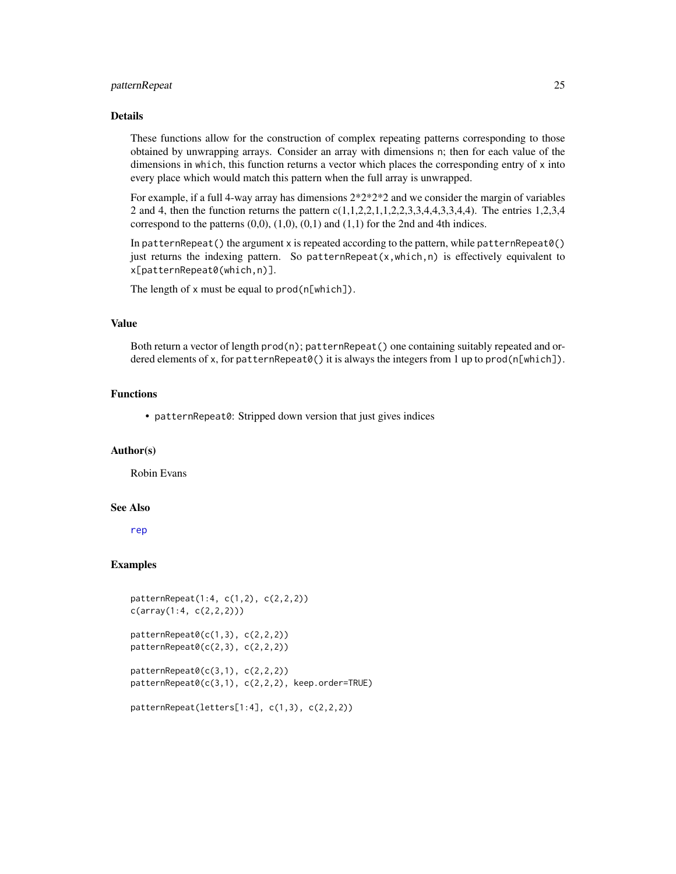### <span id="page-24-0"></span>patternRepeat 25

#### **Details**

These functions allow for the construction of complex repeating patterns corresponding to those obtained by unwrapping arrays. Consider an array with dimensions n; then for each value of the dimensions in which, this function returns a vector which places the corresponding entry of x into every place which would match this pattern when the full array is unwrapped.

For example, if a full 4-way array has dimensions 2\*2\*2\*2 and we consider the margin of variables 2 and 4, then the function returns the pattern c(1,1,2,2,1,1,2,2,3,3,4,4,3,3,4,4). The entries 1,2,3,4 correspond to the patterns  $(0,0)$ ,  $(1,0)$ ,  $(0,1)$  and  $(1,1)$  for the 2nd and 4th indices.

In patternRepeat() the argument x is repeated according to the pattern, while patternRepeat $\theta$ () just returns the indexing pattern. So patternRepeat( $x,$ which,n) is effectively equivalent to x[patternRepeat0(which,n)].

The length of x must be equal to prod(n[which]).

#### Value

Both return a vector of length prod(n); patternRepeat() one containing suitably repeated and ordered elements of x, for patternRepeat0() it is always the integers from 1 up to prod(n[which]).

#### Functions

• patternRepeat0: Stripped down version that just gives indices

#### Author(s)

Robin Evans

#### See Also

[rep](#page-0-0)

#### Examples

```
patternRepeat(1:4, c(1,2), c(2,2,2))
c(array(1:4, c(2,2,2)))
```

```
patternRepeat0(c(1,3), c(2,2,2))
patternRepeat0(c(2,3), c(2,2,2))
```
 $patternRepeat0(c(3,1), c(2,2,2))$ patternRepeat0(c(3,1), c(2,2,2), keep.order=TRUE)

```
patternRepeat(letters[1:4], c(1,3), c(2,2,2))
```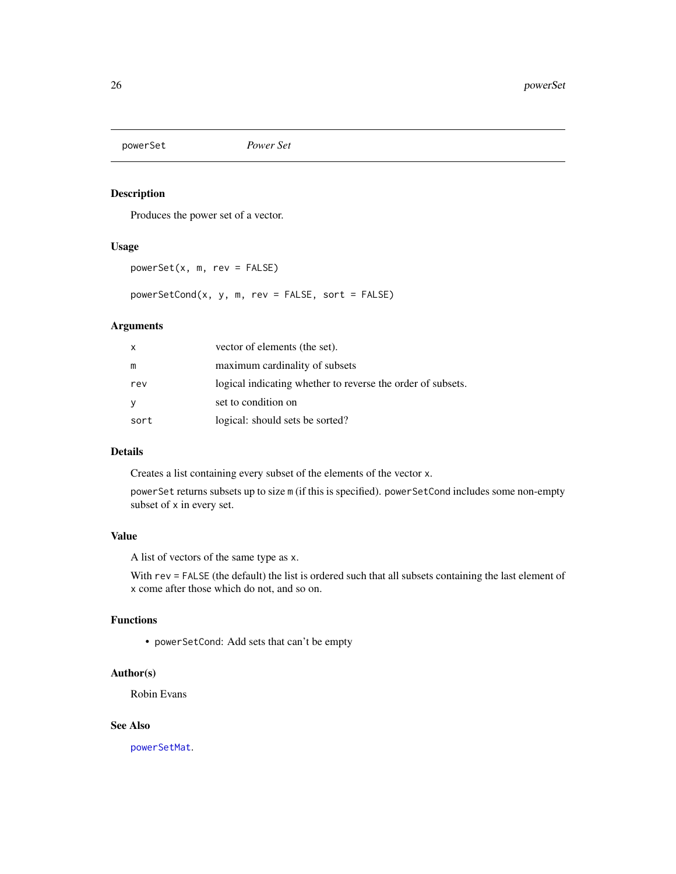<span id="page-25-1"></span><span id="page-25-0"></span>

### Description

Produces the power set of a vector.

### Usage

powerSet(x, m, rev = FALSE)

powerSetCond(x, y, m, rev = FALSE, sort = FALSE)

#### Arguments

| X    | vector of elements (the set).                               |
|------|-------------------------------------------------------------|
| m    | maximum cardinality of subsets                              |
| rev  | logical indicating whether to reverse the order of subsets. |
| У    | set to condition on                                         |
| sort | logical: should sets be sorted?                             |

#### Details

Creates a list containing every subset of the elements of the vector x.

powerSet returns subsets up to size m (if this is specified). powerSetCond includes some non-empty subset of x in every set.

#### Value

A list of vectors of the same type as x.

With rev = FALSE (the default) the list is ordered such that all subsets containing the last element of x come after those which do not, and so on.

#### Functions

• powerSetCond: Add sets that can't be empty

#### Author(s)

Robin Evans

#### See Also

[powerSetMat](#page-4-2).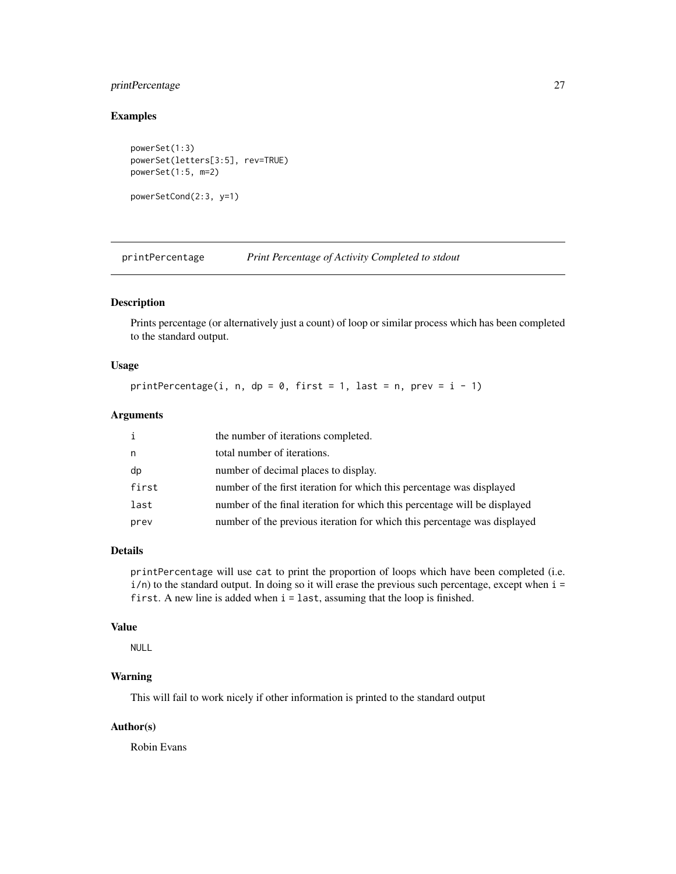### <span id="page-26-0"></span>printPercentage 27

### Examples

```
powerSet(1:3)
powerSet(letters[3:5], rev=TRUE)
powerSet(1:5, m=2)
powerSetCond(2:3, y=1)
```
printPercentage *Print Percentage of Activity Completed to stdout*

### Description

Prints percentage (or alternatively just a count) of loop or similar process which has been completed to the standard output.

### Usage

printPercentage(i, n, dp = 0, first = 1, last = n, prev =  $i - 1$ )

### Arguments

| i     | the number of iterations completed.                                       |
|-------|---------------------------------------------------------------------------|
| n     | total number of iterations.                                               |
| dp    | number of decimal places to display.                                      |
| first | number of the first iteration for which this percentage was displayed     |
| last  | number of the final iteration for which this percentage will be displayed |
| prev  | number of the previous iteration for which this percentage was displayed  |

#### Details

printPercentage will use cat to print the proportion of loops which have been completed (i.e.  $i/n$ ) to the standard output. In doing so it will erase the previous such percentage, except when  $i =$ first. A new line is added when i = last, assuming that the loop is finished.

#### Value

NULL

### Warning

This will fail to work nicely if other information is printed to the standard output

### Author(s)

Robin Evans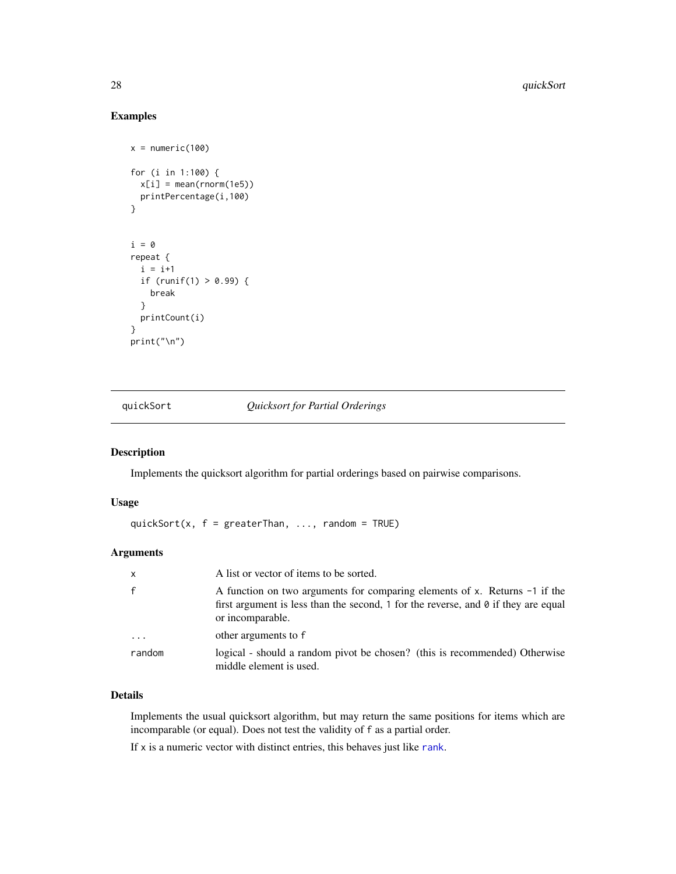### Examples

```
x = numeric(100)for (i in 1:100) {
  x[i] = mean(rnorm(1e5))printPercentage(i,100)
}
i = 0repeat {
  i = i+1if (runif(1) > 0.99) {
   break
  }
  printCount(i)
}
print("\n")
```
quickSort *Quicksort for Partial Orderings*

### Description

Implements the quicksort algorithm for partial orderings based on pairwise comparisons.

#### Usage

quickSort(x,  $f = \text{greater} \text{Than}, \ldots, \text{random} = \text{TRUE}$ )

### Arguments

| $\mathsf{x}$            | A list or vector of items to be sorted.                                                                                                                                                     |
|-------------------------|---------------------------------------------------------------------------------------------------------------------------------------------------------------------------------------------|
| $\mathsf{f}$            | A function on two arguments for comparing elements of x. Returns -1 if the<br>first argument is less than the second, 1 for the reverse, and $\theta$ if they are equal<br>or incomparable. |
| $\cdot$ $\cdot$ $\cdot$ | other arguments to f                                                                                                                                                                        |
| random                  | logical - should a random pivot be chosen? (this is recommended) Otherwise<br>middle element is used.                                                                                       |

#### Details

Implements the usual quicksort algorithm, but may return the same positions for items which are incomparable (or equal). Does not test the validity of f as a partial order.

If  $x$  is a numeric vector with distinct entries, this behaves just like [rank](#page-0-0).

<span id="page-27-0"></span>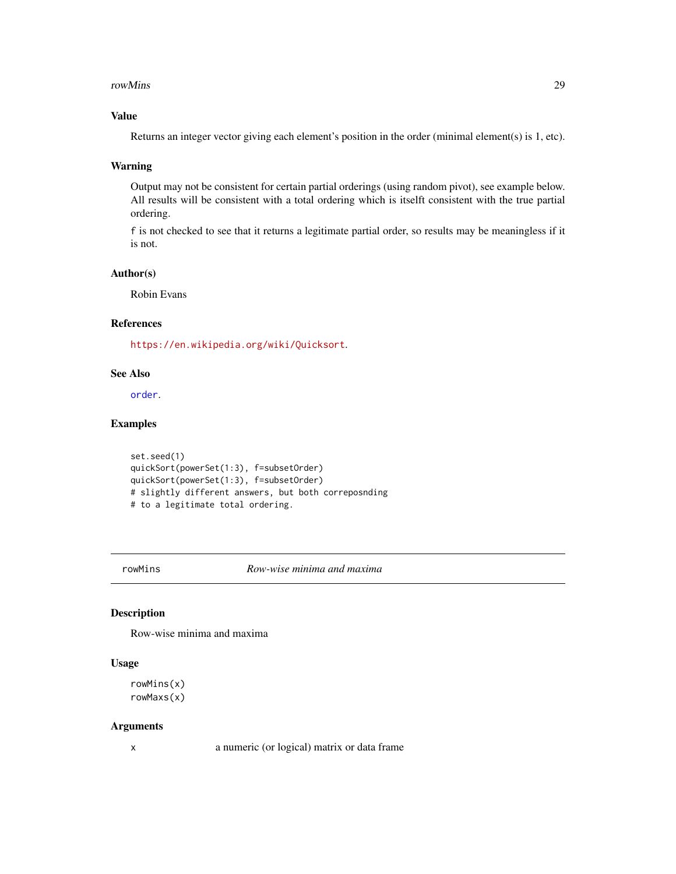#### <span id="page-28-0"></span>rowMins 29

### Value

Returns an integer vector giving each element's position in the order (minimal element(s) is 1, etc).

#### Warning

Output may not be consistent for certain partial orderings (using random pivot), see example below. All results will be consistent with a total ordering which is itselft consistent with the true partial ordering.

f is not checked to see that it returns a legitimate partial order, so results may be meaningless if it is not.

#### Author(s)

Robin Evans

### References

<https://en.wikipedia.org/wiki/Quicksort>.

#### See Also

[order](#page-0-0).

#### Examples

```
set.seed(1)
quickSort(powerSet(1:3), f=subsetOrder)
quickSort(powerSet(1:3), f=subsetOrder)
# slightly different answers, but both correposnding
# to a legitimate total ordering.
```
rowMins *Row-wise minima and maxima*

### Description

Row-wise minima and maxima

#### Usage

```
rowMins(x)
rowMaxs(x)
```
#### Arguments

x a numeric (or logical) matrix or data frame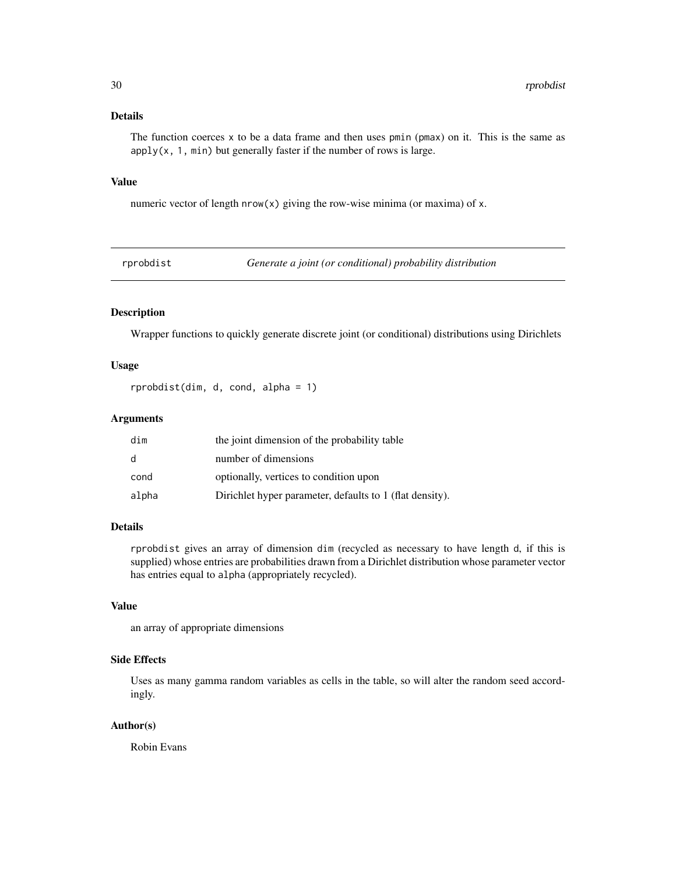### <span id="page-29-0"></span>Details

The function coerces  $x$  to be a data frame and then uses pmin ( $pmax$ ) on it. This is the same as  $apply(x, 1, min)$  but generally faster if the number of rows is large.

#### Value

numeric vector of length  $nrow(x)$  giving the row-wise minima (or maxima) of x.

rprobdist *Generate a joint (or conditional) probability distribution*

### Description

Wrapper functions to quickly generate discrete joint (or conditional) distributions using Dirichlets

#### Usage

rprobdist(dim, d, cond, alpha = 1)

### Arguments

| dim          | the joint dimension of the probability table             |
|--------------|----------------------------------------------------------|
| <sub>d</sub> | number of dimensions                                     |
| cond         | optionally, vertices to condition upon                   |
| alpha        | Dirichlet hyper parameter, defaults to 1 (flat density). |

#### Details

rprobdist gives an array of dimension dim (recycled as necessary to have length d, if this is supplied) whose entries are probabilities drawn from a Dirichlet distribution whose parameter vector has entries equal to alpha (appropriately recycled).

### Value

an array of appropriate dimensions

### Side Effects

Uses as many gamma random variables as cells in the table, so will alter the random seed accordingly.

#### Author(s)

Robin Evans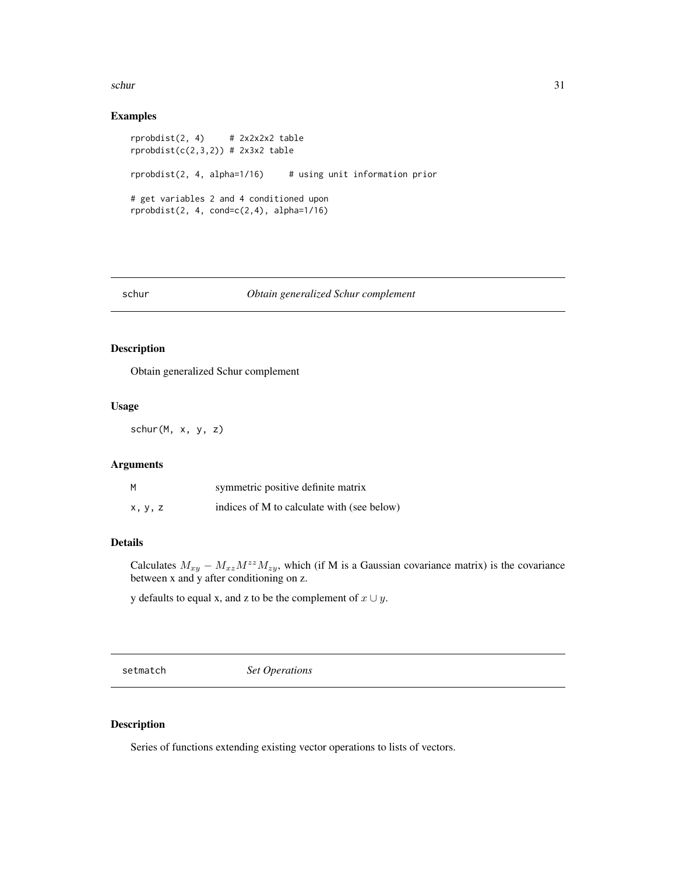<span id="page-30-0"></span> $schur$  31

### Examples

```
rprobdist(2, 4) # 2x2x2x2 table
rprobdist(c(2,3,2)) # 2x3x2 table
rprobdist(2, 4, alpha=1/16) # using unit information prior
# get variables 2 and 4 conditioned upon
rprobdist(2, 4, cond=c(2,4), alpha=1/16)
```
#### schur *Obtain generalized Schur complement*

### Description

Obtain generalized Schur complement

#### Usage

schur(M, x, y, z)

#### Arguments

| М       | symmetric positive definite matrix         |
|---------|--------------------------------------------|
| x, y, z | indices of M to calculate with (see below) |

### Details

Calculates  $M_{xy} - M_{xz}M^{zz}M_{zy}$ , which (if M is a Gaussian covariance matrix) is the covariance between x and y after conditioning on z.

y defaults to equal x, and z to be the complement of  $x \cup y$ .

<span id="page-30-1"></span>setmatch *Set Operations*

#### Description

Series of functions extending existing vector operations to lists of vectors.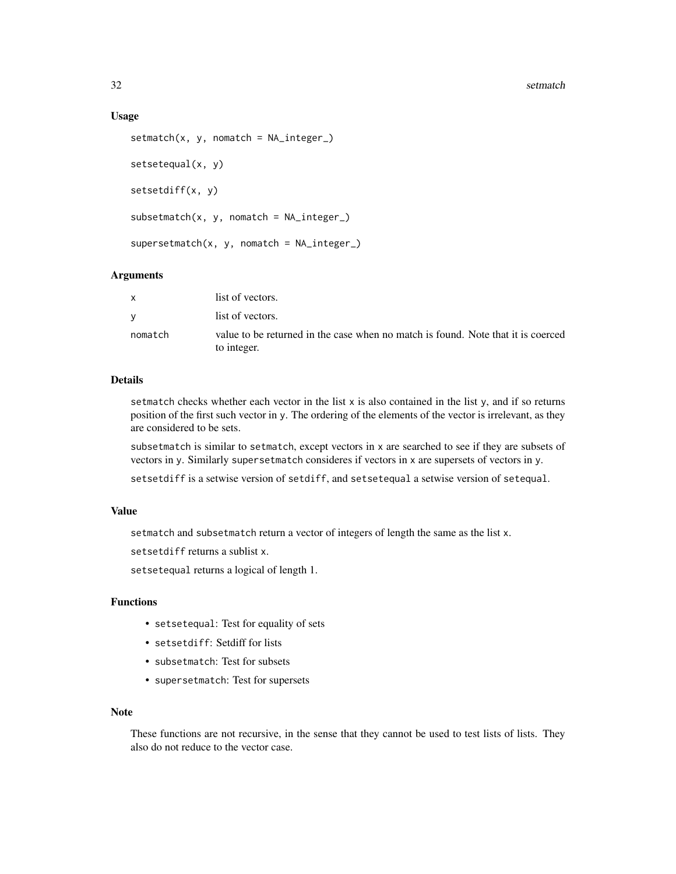#### 32 setmatch and the setmatch setmatch setmatch setmatch setmatch setmatch setmatch setmatch setmatch setmatch

#### Usage

```
setmatch(x, y, nomatch = NA_integer_)
setsetequal(x, y)
setsetdiff(x, y)
subsetmatch(x, y, nomatch = NA_integer_)
supersetmatch(x, y, nomatch = NA_integer_)
```
#### Arguments

|         | list of vectors.                                                                                |
|---------|-------------------------------------------------------------------------------------------------|
|         | list of vectors.                                                                                |
| nomatch | value to be returned in the case when no match is found. Note that it is coerced<br>to integer. |

### **Details**

setmatch checks whether each vector in the list  $x$  is also contained in the list  $y$ , and if so returns position of the first such vector in y. The ordering of the elements of the vector is irrelevant, as they are considered to be sets.

subsetmatch is similar to setmatch, except vectors in x are searched to see if they are subsets of vectors in y. Similarly supersetmatch consideres if vectors in x are supersets of vectors in y.

setsetdiff is a setwise version of setdiff, and setsetequal a setwise version of setequal.

#### Value

setmatch and subsetmatch return a vector of integers of length the same as the list x.

setsetdiff returns a sublist x.

setsetequal returns a logical of length 1.

### Functions

- setsetequal: Test for equality of sets
- setsetdiff: Setdiff for lists
- subsetmatch: Test for subsets
- supersetmatch: Test for supersets

#### Note

These functions are not recursive, in the sense that they cannot be used to test lists of lists. They also do not reduce to the vector case.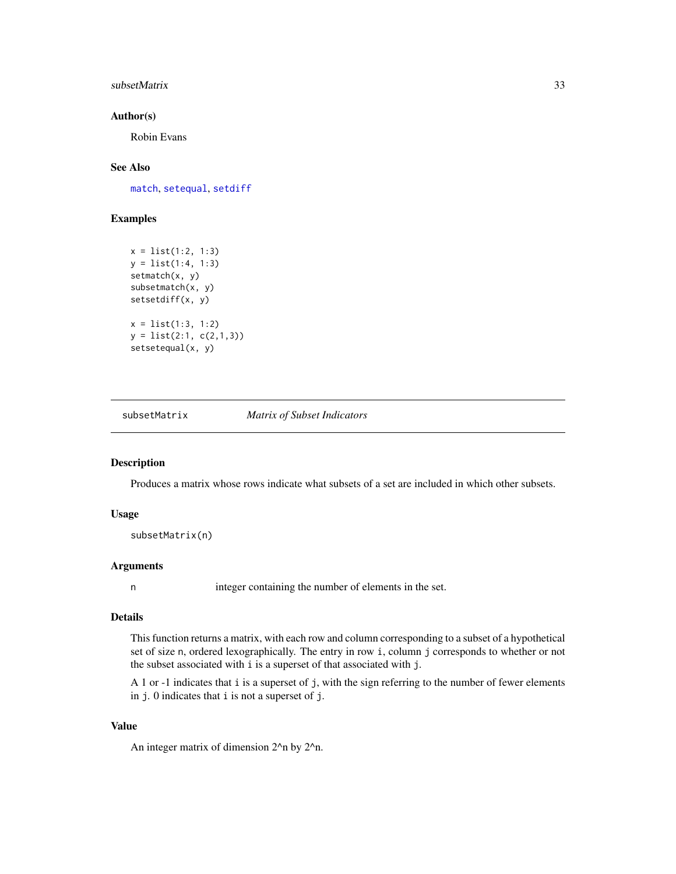#### <span id="page-32-0"></span>subsetMatrix 33

#### Author(s)

Robin Evans

### See Also

[match](#page-0-0), [setequal](#page-0-0), [setdiff](#page-0-0)

### Examples

```
x = list(1:2, 1:3)
y = list(1:4, 1:3)
setmatch(x, y)
subsetmatch(x, y)
setsetdiff(x, y)
x = list(1:3, 1:2)y = list(2:1, c(2,1,3))
setsetequal(x, y)
```
<span id="page-32-1"></span>subsetMatrix *Matrix of Subset Indicators*

#### Description

Produces a matrix whose rows indicate what subsets of a set are included in which other subsets.

#### Usage

```
subsetMatrix(n)
```
#### Arguments

n integer containing the number of elements in the set.

#### Details

This function returns a matrix, with each row and column corresponding to a subset of a hypothetical set of size n, ordered lexographically. The entry in row i, column j corresponds to whether or not the subset associated with i is a superset of that associated with j.

A 1 or -1 indicates that i is a superset of j, with the sign referring to the number of fewer elements in j. 0 indicates that i is not a superset of j.

### Value

An integer matrix of dimension 2^n by 2^n.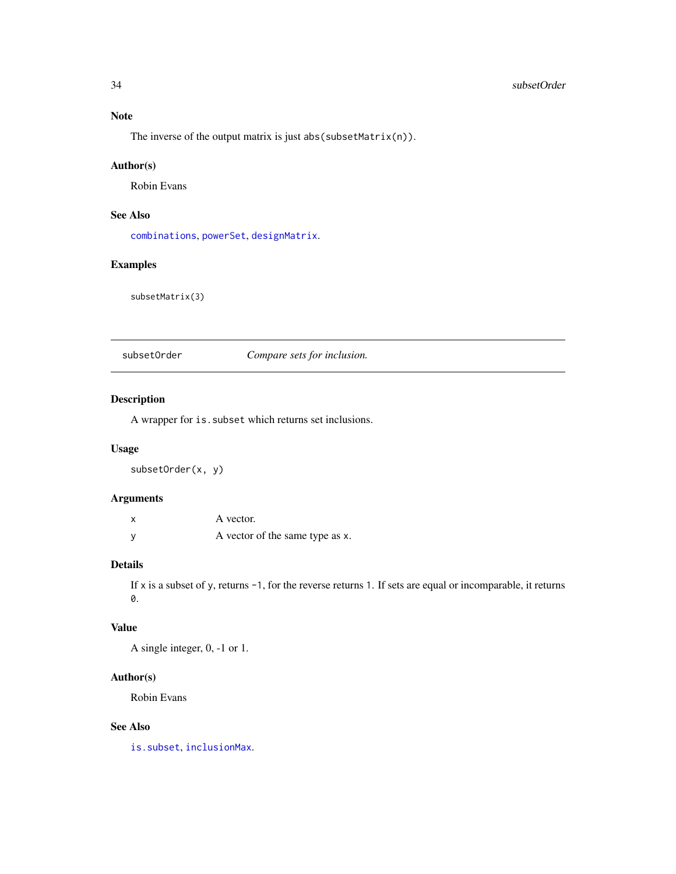### <span id="page-33-0"></span>34 subsetOrder

## Note

The inverse of the output matrix is just abs(subsetMatrix(n)).

### Author(s)

Robin Evans

### See Also

[combinations](#page-4-1), [powerSet](#page-25-1), [designMatrix](#page-9-1).

### Examples

subsetMatrix(3)

subsetOrder *Compare sets for inclusion.*

### Description

A wrapper for is.subset which returns set inclusions.

### Usage

subsetOrder(x, y)

#### Arguments

| X | A vector.                       |
|---|---------------------------------|
| У | A vector of the same type as x. |

### Details

If x is a subset of y, returns -1, for the reverse returns 1. If sets are equal or incomparable, it returns 0.

### Value

A single integer, 0, -1 or 1.

### Author(s)

Robin Evans

### See Also

[is.subset](#page-19-1), [inclusionMax](#page-16-1).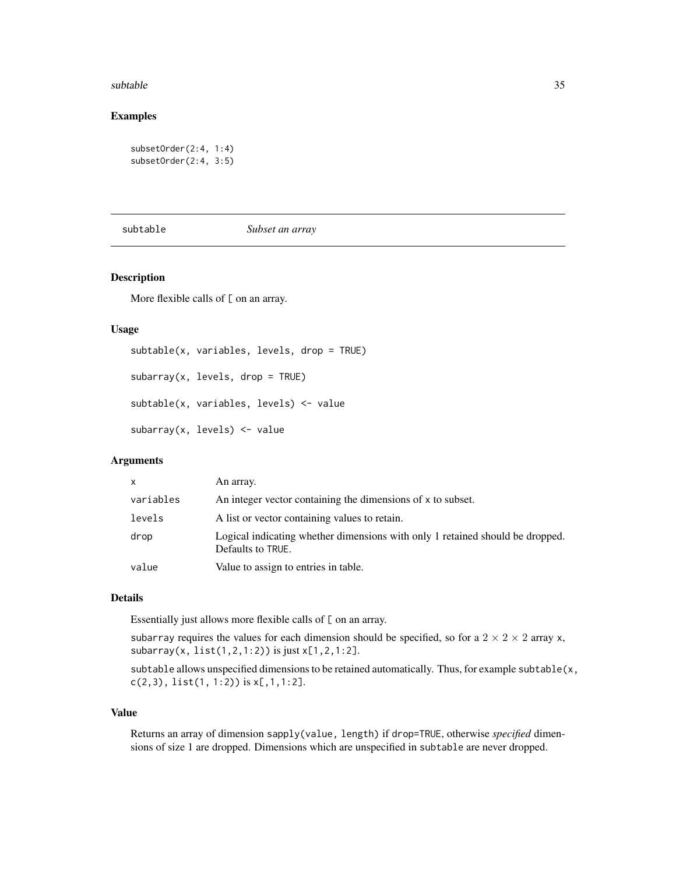#### <span id="page-34-0"></span>subtable 35

#### Examples

```
subsetOrder(2:4, 1:4)
subsetOrder(2:4, 3:5)
```
#### subtable *Subset an array*

#### Description

More flexible calls of  $[$  on an array.

#### Usage

```
subtable(x, variables, levels, drop = TRUE)
subarray(x, levels, drop = TRUE)
subtable(x, variables, levels) <- value
subarray(x, levels) \leftarrow value
```
### Arguments

| $\mathsf{x}$ | An array.                                                                                          |
|--------------|----------------------------------------------------------------------------------------------------|
| variables    | An integer vector containing the dimensions of x to subset.                                        |
| levels       | A list or vector containing values to retain.                                                      |
| drop         | Logical indicating whether dimensions with only 1 retained should be dropped.<br>Defaults to TRUE. |
| value        | Value to assign to entries in table.                                                               |

#### Details

Essentially just allows more flexible calls of  $[$  on an array.

subarray requires the values for each dimension should be specified, so for a  $2 \times 2 \times 2$  array x, subarray(x, list(1,2,1:2)) is just x[1,2,1:2].

subtable allows unspecified dimensions to be retained automatically. Thus, for example subtable(x,  $c(2,3),$  list(1, 1:2)) is  $x[,1,1:2]$ .

#### Value

Returns an array of dimension sapply(value, length) if drop=TRUE, otherwise *specified* dimensions of size 1 are dropped. Dimensions which are unspecified in subtable are never dropped.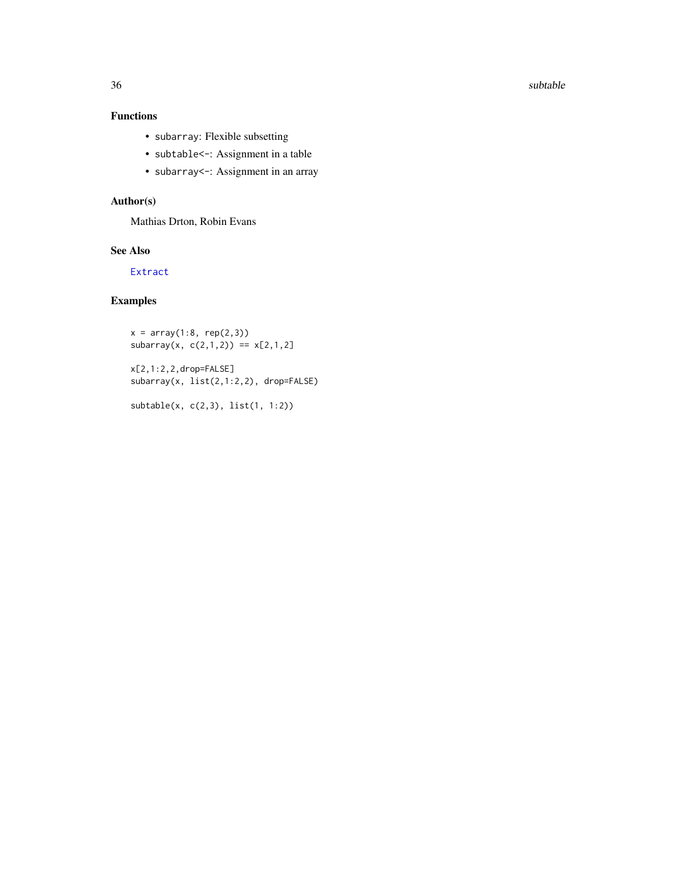<span id="page-35-0"></span>36 subtable subtable subtable subtable subtable subtable subtable subtable subtable subtable

### Functions

- subarray: Flexible subsetting
- subtable<-: Assignment in a table
- subarray<-: Assignment in an array

### Author(s)

Mathias Drton, Robin Evans

### See Also

[Extract](#page-0-0)

### Examples

 $x = array(1:8, rep(2,3))$  $subarray(x, c(2,1,2)) == x[2,1,2]$ 

x[2,1:2,2,drop=FALSE] subarray(x, list(2,1:2,2), drop=FALSE)

subtable(x, c(2,3), list(1, 1:2))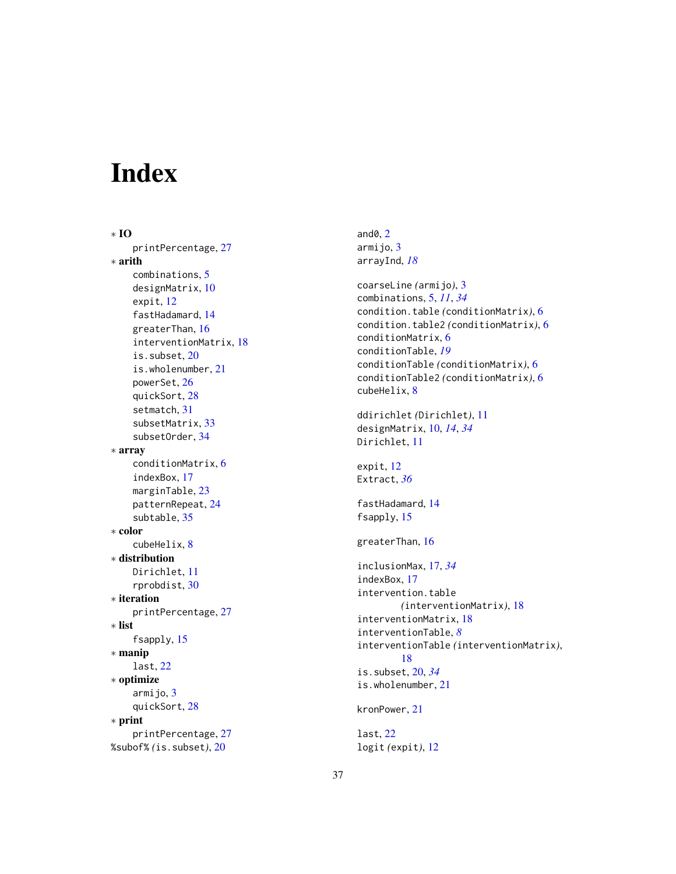# <span id="page-36-0"></span>Index

∗ IO printPercentage , [27](#page-26-0) ∗ arith combinations , [5](#page-4-0) designMatrix , [10](#page-9-0) expit , [12](#page-11-0) fastHadamard , [14](#page-13-0) greaterThan , [16](#page-15-0) interventionMatrix , [18](#page-17-0) is.subset , [20](#page-19-0) is.wholenumber , [21](#page-20-0) powerSet , [26](#page-25-0) quickSort , [28](#page-27-0) setmatch , [31](#page-30-0) subsetMatrix , [33](#page-32-0) subsetOrder , [34](#page-33-0) ∗ array conditionMatrix , [6](#page-5-0) indexBox , [17](#page-16-0) marginTable, [23](#page-22-0) patternRepeat , [24](#page-23-0) subtable, [35](#page-34-0) ∗ color cubeHelix , [8](#page-7-0) ∗ distribution Dirichlet , [11](#page-10-0) rprobdist , [30](#page-29-0) ∗ iteration printPercentage , [27](#page-26-0) ∗ list fsapply , [15](#page-14-0) ∗ manip last , [22](#page-21-0) ∗ optimize armijo, [3](#page-2-0) quickSort , [28](#page-27-0) ∗ print printPercentage , [27](#page-26-0) %subof% *(*is.subset *)* , [20](#page-19-0)

and $\textsf{0},\textsf{2}$  $\textsf{0},\textsf{2}$  $\textsf{0},\textsf{2}$ armijo, <mark>[3](#page-2-0)</mark> arrayInd , *[18](#page-17-0)* coarseLine *(*armijo *)* , [3](#page-2-0) combinations , [5](#page-4-0) , *[11](#page-10-0)* , *[34](#page-33-0)* condition.table *(*conditionMatrix *)* , [6](#page-5-0) condition.table2 *(*conditionMatrix *)* , [6](#page-5-0) conditionMatrix , [6](#page-5-0) conditionTable , *[19](#page-18-0)* conditionTable *(*conditionMatrix *)* , [6](#page-5-0) conditionTable2 *(*conditionMatrix *)* , [6](#page-5-0) cubeHelix , [8](#page-7-0) ddirichlet *(*Dirichlet *)* , [11](#page-10-0) designMatrix , [10](#page-9-0) , *[14](#page-13-0)* , *[34](#page-33-0)* Dirichlet , [11](#page-10-0) expit , [12](#page-11-0) Extract , *[36](#page-35-0)* fastHadamard , [14](#page-13-0) fsapply, [15](#page-14-0) greaterThan , [16](#page-15-0) inclusionMax , [17](#page-16-0) , *[34](#page-33-0)* indexBox , [17](#page-16-0) intervention.table *(*interventionMatrix *)* , [18](#page-17-0) interventionMatrix , [18](#page-17-0) interventionTable , *[8](#page-7-0)* interventionTable *(*interventionMatrix *)* , [18](#page-17-0) is.subset , [20](#page-19-0) , *[34](#page-33-0)* is.wholenumber , [21](#page-20-0) kronPower , [21](#page-20-0) last , [22](#page-21-0) logit *(*expit *)* , [12](#page-11-0)